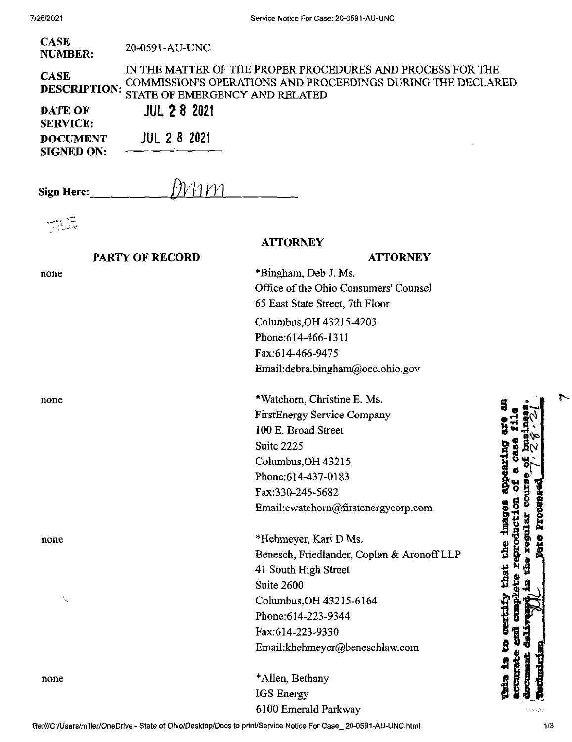| <b>CASE</b><br><b>NUMBER:</b><br><b>CASE</b><br><b>DESCRIPTION:</b><br><b>DATE OF</b><br><b>SERVICE:</b><br><b>DOCUMENT</b><br><b>SIGNED ON:</b> | 20-0591-AU-UNC<br><b>STATE OF EMERGENCY AND RELATED</b><br><b>JUL 2 8 2021</b><br><b>JUL 2 8 2021</b> | IN THE MATTER OF THE PROPER PROCEDURES AND PROCESS FOR THE<br>COMMISSION'S OPERATIONS AND PROCEEDINGS DURING THE DECLARED                                                                                       |                                                            |
|--------------------------------------------------------------------------------------------------------------------------------------------------|-------------------------------------------------------------------------------------------------------|-----------------------------------------------------------------------------------------------------------------------------------------------------------------------------------------------------------------|------------------------------------------------------------|
| <b>Sign Here:</b>                                                                                                                                |                                                                                                       |                                                                                                                                                                                                                 |                                                            |
| 需原                                                                                                                                               | <b>PARTY OF RECORD</b>                                                                                | <b>ATTORNEY</b><br><b>ATTORNEY</b>                                                                                                                                                                              |                                                            |
| none                                                                                                                                             |                                                                                                       | *Bingham, Deb J. Ms.<br>Office of the Ohio Consumers' Counsel<br>65 East State Street, 7th Floor<br>Columbus, OH 43215-4203<br>Phone: 614-466-1311<br>Fax:614-466-9475<br>Email:debra.bingham@occ.ohio.gov      |                                                            |
| none                                                                                                                                             |                                                                                                       | *Watchorn, Christine E. Ms.<br><b>FirstEnergy Service Company</b><br>100 E. Broad Street<br>Suite 2225<br>Columbus, OH 43215<br>Phone: 614-437-0183<br>Fax:330-245-5682<br>Email: cwatchorn@firstenergycorp.com | ÃΜ<br>appearin<br><b>BEOCGE</b><br><b>1mages</b>           |
| none                                                                                                                                             |                                                                                                       | *Hehmeyer, Kari D Ms.<br>Benesch, Friedlander, Coplan & Aronoff LLP<br>41 South High Street<br>Suite 2600<br>Columbus, OH 43215-6164                                                                            | <b>EQUAL</b><br>Dute<br>the<br>that                        |
| none                                                                                                                                             |                                                                                                       | Phone: 614-223-9344<br>Fax:614-223-9330<br>Email:khehmeyer@beneschlaw.com<br>*Allen, Bethany<br>IGS Energy                                                                                                      | <b>DEL CLES</b><br>威胁性痛<br><b>Remonded</b><br><b>Chile</b> |
|                                                                                                                                                  |                                                                                                       | 6100 Emerald Parkway                                                                                                                                                                                            |                                                            |

 $\ddot{\cdot}$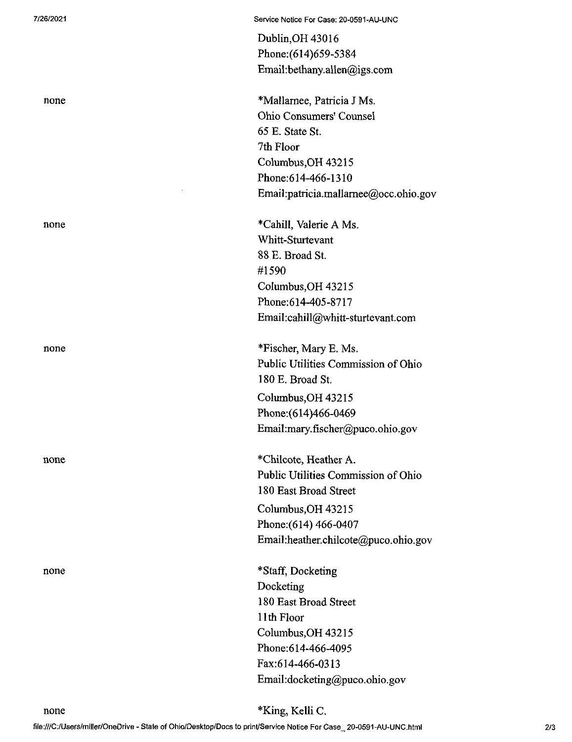|      | Dublin, OH 43016                      |
|------|---------------------------------------|
|      | Phone: (614) 659-5384                 |
|      | Email:bethany.allen@igs.com           |
| none | *Mallarnee, Patricia J Ms.            |
|      | Ohio Consumers' Counsel               |
|      | 65 E. State St.                       |
|      | 7th Floor                             |
|      | Columbus, OH 43215                    |
|      | Phone: 614-466-1310                   |
|      | Email:patricia.mallarnee@occ.ohio.gov |
| none | *Cahill, Valerie A Ms.                |
|      | Whitt-Sturtevant                      |
|      | 88 E. Broad St.                       |
|      | #1590                                 |
|      | Columbus, OH 43215                    |
|      | Phone: 614-405-8717                   |
|      | Email:cahill@whitt-sturtevant.com     |
| none | *Fischer, Mary E. Ms.                 |
|      | Public Utilities Commission of Ohio   |
|      | 180 E. Broad St.                      |
|      | Columbus, OH 43215                    |
|      | Phone: (614)466-0469                  |
|      | Email:mary.fischer@puco.ohio.gov      |
| none | *Chilcote, Heather A.                 |
|      | Public Utilities Commission of Ohio   |
|      | 180 East Broad Street                 |
|      | Columbus, OH 43215                    |
|      | Phone: (614) 466-0407                 |
|      | Email:heather.chilcote@puco.ohio.gov  |
| none | *Staff, Docketing                     |
|      | Docketing                             |
|      | 180 East Broad Street                 |
|      | 11th Floor                            |
|      | Columbus, OH 43215                    |
|      | Phone: 614-466-4095                   |
|      | Fax:614-466-0313                      |
|      | Email:docketing@puco.ohio.gov         |
|      |                                       |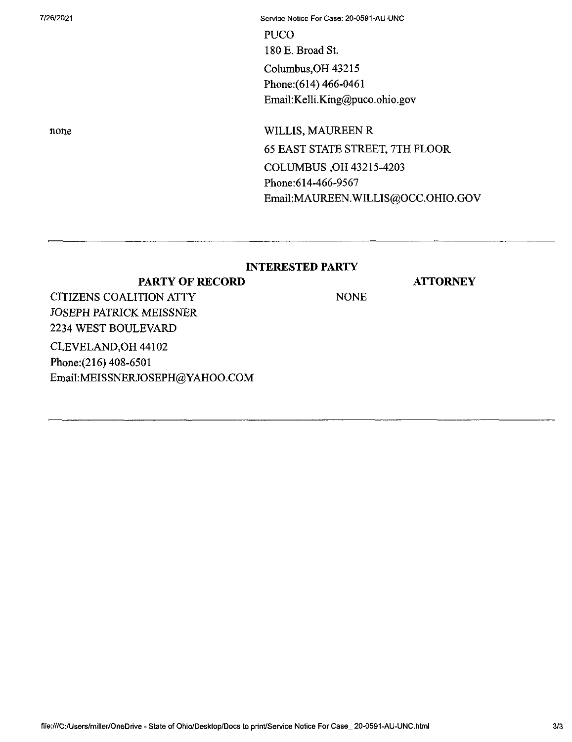7/26/2021 Service Notice For Case: 20-0591-AU-UNC PUCO 180 E. Broad St. Columbus,OH 43215 Phone:(614) 466-0461 Email:Kelli.King@puco.ohio.gov

none WILLIS, MAUREEN R 65 EAST STATE STREET, 7TH FLOOR COLUMBUS ,OH 43215-4203 Phone:614-466-9567 Email:MAUREEN.WILLIS@OCC.OHIO.GOV

## **INTERESTED PARTY**

**ATTORNEY**

**PARTY OF RECORD** CITIZENS COALITION ATTY NONE JOSEPH PATRICK MEISSNER 2234 WEST BOULEVARD CLEVELAND,OH 44102 Phone:(216) 408-6501 EmaiI:MEISSNERJOSEPH@YAHOO.COM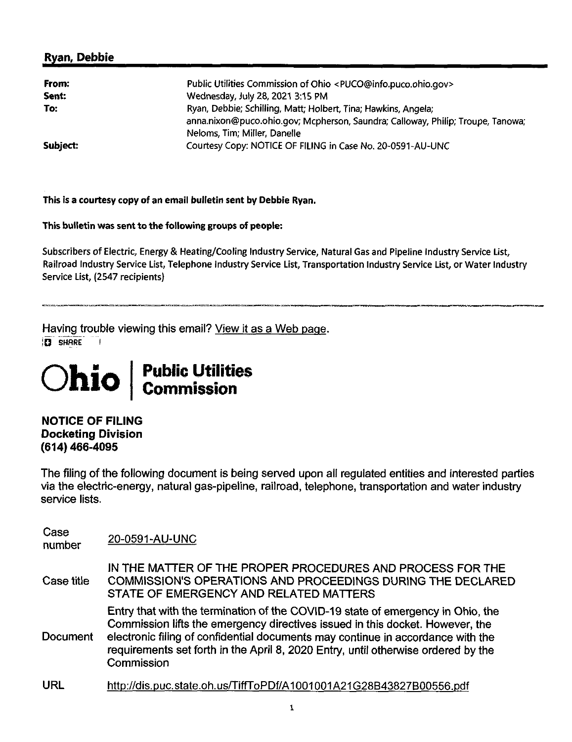## **Ryan, Debbie**

| From:<br>Sent: | Public Utilities Commission of Ohio <puco@info.puco.ohio.gov><br/>Wednesday, July 28, 2021 3:15 PM</puco@info.puco.ohio.gov>                                                      |  |
|----------------|-----------------------------------------------------------------------------------------------------------------------------------------------------------------------------------|--|
| To:            | Ryan, Debbie; Schilling, Matt; Holbert, Tina; Hawkins, Angela;<br>anna.nixon@puco.ohio.gov; Mcpherson, Saundra; Calloway, Philip; Troupe, Tanowa;<br>Neloms, Tim; Miller, Danelle |  |
| Subject:       | Courtesy Copy: NOTICE OF FILING in Case No. 20-0591-AU-UNC                                                                                                                        |  |

**This is a courtesy copy of an email bulletin sent by Debbie Ryan.**

**This bulletin was sent to thefollowing groups of people:**

Subscribers of Electric, Energy & Heating/Cooling Industry Service, Natural Gas and Pipeline Industry Service List, Railroad industry Service List, Telephone Industry Service List, Transportation Industry Service List, or Water Industry Service List, (2547 recipients)

Having trouble viewing this email? View it as a Web page. **D** SHARE  $\Box$ 

## **Ohio Public Utilities Commission**

**NOTICE OF FILING Docketing Division (614) 466-4095**

The filing of the following document is being served upon all regulated entities and interested parties via the electric-energy, natural gas-pipeline, railroad, telephone, transportation and water industry service lists.

| Case<br>number  | 20-0591-AU-UNC                                                                                                                                                                                                                                                                                                                                         |
|-----------------|--------------------------------------------------------------------------------------------------------------------------------------------------------------------------------------------------------------------------------------------------------------------------------------------------------------------------------------------------------|
| Case title      | IN THE MATTER OF THE PROPER PROCEDURES AND PROCESS FOR THE<br>COMMISSION'S OPERATIONS AND PROCEEDINGS DURING THE DECLARED<br>STATE OF EMERGENCY AND RELATED MATTERS                                                                                                                                                                                    |
| <b>Document</b> | Entry that with the termination of the COVID-19 state of emergency in Ohio, the<br>Commission lifts the emergency directives issued in this docket. However, the<br>electronic filing of confidential documents may continue in accordance with the<br>requirements set forth in the April 8, 2020 Entry, until otherwise ordered by the<br>Commission |
| <b>URL</b>      | http://dis.puc.state.oh.us/TiffToPDf/A1001001A21G28B43827B00556.pdf                                                                                                                                                                                                                                                                                    |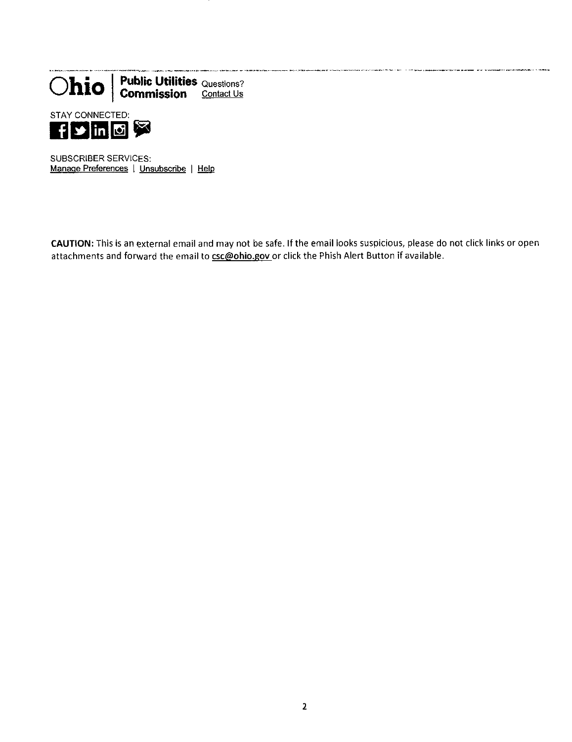



SUBSCRIBER SERVICES; Manage Preferences | Unsubscribe | Help

CAUTION: This is an external email and may not be safe. If the email looks suspicious, please do not click links or open attachments and forward the email to csc@ohio.gov or click the Phish Alert Button if available.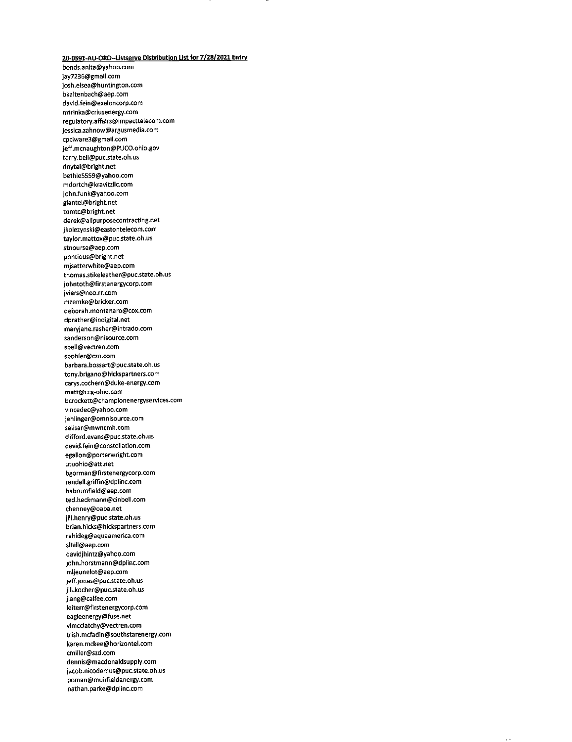## **20-0591-AU-ORD-listserve Distribution listfor 7/28/2021 Entry**

bonds.anita@yatioo.com jay7236@gmail.com josh.elsea@huntington.com bkaltenbach@aep.com david.fein@exeloncorp.com mtrinka@criusenergy.com regulatory.affairs@lmpactteiecom.com jessica.zahnow@argusmedia.com cpciware3@gmaii.com jeff.mcnaughton@PUCO.ohio.gov terry.bell@puc.state.oh.us doytei@bright.net bethie5559@yahoo.com mdortch@kravitzllc.com john.funk@yahoo.com glantei@bright.net tomtc@bright.net derek@allpurposecontracting.net jkolezynski@eastontelecom.com taylor.mattox@puc.state.oh.us stnourse@aep.com pontious@bright.net mjsatterwhite@aep.com thomas.stikeleather@puc.state.oh.us johntoth@firstenergycorp.com jviers@neo.rr.com mzemke@bricker.com deborah.montanaro@cox.com dprather@indigital.net maryjane.rasher@intrado.com sanderson@nisource.com sbeii@vectren.com sbohler@czn.com barbara.bossart@puc.state.oh.us tony.brigano@hickspartners.com carvs.cochern@duke-energy.com matt@ccg-ohio.com bcrockett@championenergyservices.com vincedec@yahoo.com jehlinger@omnisource.com selisar@mwncmh.com clifford.evans@puc.state.oh.us david.fein@consteliation.com egalion@porterwright.com utuohio@att.net bgorman@firstenergycorp.com randall.griffin@dplinc.com habrumfieid@aep.com ted.heckmann@cinbeli.com chenney@oaba.net jill.henry@puc.state.oh.us brian.hlcks@hickspartners.com rahideg@aquaamerica.com sihill@aep.com davidjhintz@yahoo.com john.horstmann@dplinc.com mljeunelot@aep.com jeff.jones@puc.state.oh.us jill.kocher@puc.state.oh.us jlang@calfee.com ieiterr@firstenergycorp.com eagleenergy@fuse.net vlmcclatchy@vectren.com trish.mcfadin@southstarenergy.com karen.mckee@horizontel.com cmiller@szd.com dennis@macdonaldsupply.com jacob.nicodemus@puc.state.oh.us poman@muirfieldenergy.com nathan.parke@dplinc.com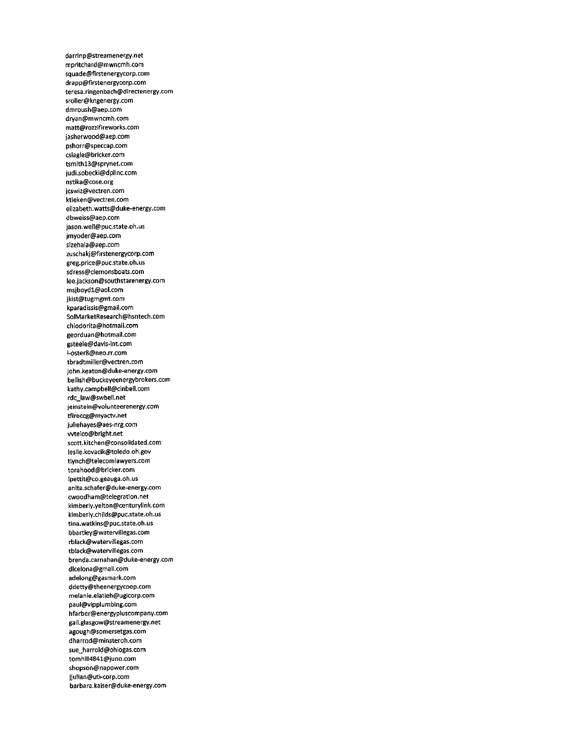darrinp@streamenergy.net mpritchard@mwncmh.com squade@firstenergycorp.com drapp@flrstenergycorp.com teresa.ringenbach@directenergy.com sroller@kngenergy.com dmroush@aep.com dryan@mwncmh.com matt@roz2ifireworks.com jasherwood@aep.com pshorr@speccap.com csiagle@bricker.com tsmithl3@sprynet.com judi.sobecki@dplinc.com nstika@cose.org jcswiz@vectren.com ktieken@vectren.com elizabeth.watts@duke-energy.com dbweiss@aep.com jason.well@puc.state.oh.us jmyoder@aep.com sizehala@aep.com zuschakj@firstenergycorp.com greg.price@puc.state.oh.us sdress@clemonsboats.com lee.jackson@southstarenergy.com msjboydl@aol.com jkist@tugmgmt.com kparadissis@gmail.com SolMarketResearch@hsntech.com chiodorita@hotmaii.com georduan@hotmaii.com gsteele@davis-int.com i-oster8@neo.rr.com tbradtmiller@vectren.com john.keaton@duke-energy.com bellish@buckeyeenergybrokers.com kathy.campbell@cinbell.com rdc\_law@swbell.net jeinstein@volunteerenergy.com tfireccg@myactv.net juliehayes@aes-nrg.com wtelco@bright.net scott.kitchen@consolidated.com leslie.kovacik@toledo.oh.gov tlynch@telecomlaw/yers.com torahood@bricker.com Ipettit@co.geauga.oh.us anita.schafer@duke-energy.com cwoodham@telegration.net kimberly.yelton@centurylink.com kimberly.childs@puc.state.oh.us tina.watkins@puc.state.oh.us bbartley@watervillegas.com rbiack@watervillegas.com tblack@watervillegas.com brenda.carnahan@duke-energy.com dlcelona@gmail.com adelong@gasmark.com ddetty@theenergycoop.com melanie.e1atieh@ugicorp.com paul@vipplumbing.com hfarber@energypluscompany.com gail.glasgow@streamenergy.net agough@somersetgas.com dharrod@minsteroh.com sue\_harrold@ohiogas.com tomhill4841@juno.com shopson@napower.com ijulian@uti-corp.com barbara.kaiser@duke-energy.com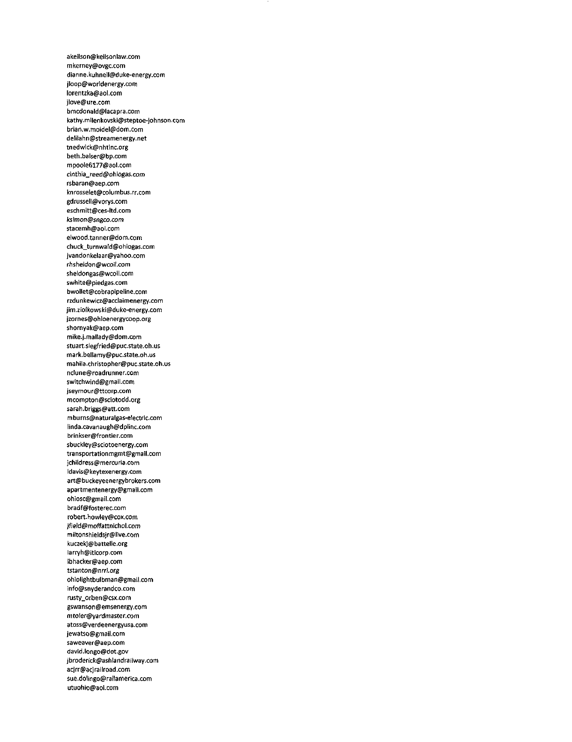akeilson@keilsonlaw.com mkerney@ovgc.com dianne.kuhnell@duke-energy.com jloop@wor1denergy.com lorentzka@aol.com jlove@ure.com bmcdonald@lacapra.com kathy.milenkovski@steptoe-johnson.com brian.w.moidel@dom.com de1ilahn@5treamenergy.net tnedwick@nhtinc.org beth.balser@bp.com mpoole6177@aol.com cinthia\_reed@ohiogas.com rsbaran@aep.com knrosselet@columbus.rr.com gdrussell@vorys.com eschmitt@ces-ltd.com ksimor?@sngco.com stacemh@aol.com elwood.tanner@dom.com chuck\_turnwald@ohiogas.com jvandonkelaar@yahoo.com rhsheldon@wcoil.com sheidongas@wcoii.com swhite@piedgas.com bwollet@cobrapipeline.com rzdunkewicz@acdaimenergy.com jim.zio(kowskI@duke-energy.com Jzornes@ohioenergycoop.org shornyak@aep.com mike.J.mallady@dom.com stuart.siegfried@puc.state.oh.us mark.bellamy@puc.state.oh.us mahiia.christopher@puc.state.oh.us nclune@roadrunner.com switchwind@gmaii.com Jseymour@ttcorp.com mcompton@sciotodd.org sarah.briggs@att.com mburns@naturalgas-electric.com iinda.cavanaugh@dpiinc.com brinkser@frontier.com sbuckley@sciotoenergy.com transportationmgmt@gmail.com jchiidress@mercuria.com idavis@keytexenergy.com art@buckeyeenergybrokers.com apartmentenergy@gmail.com ohiosc@gmai1.com bradf@fosterec.com robert.howley@cox.com Jfie)d@moffattnichol.com miltonshieldsjr@live.com kuczekj@battelle.org iarryh@itlcorp.com lbhacker@aep.com tstanton@nrri.org ohiolightbulbman@gmail.com info@snyderandco.com rusty\_orben@csx.com gswanson@emsenergy.com mtoler@yardmaster.com atoss@verdeenergyusa.com Jewatso@gmail.com saweaver@aep.com david.longo@dot.gov jbroderick@ash(andrai(way.com acjrr@acjraiiroad.com sue.dolingo@railamerica.com utuohio@aoi.com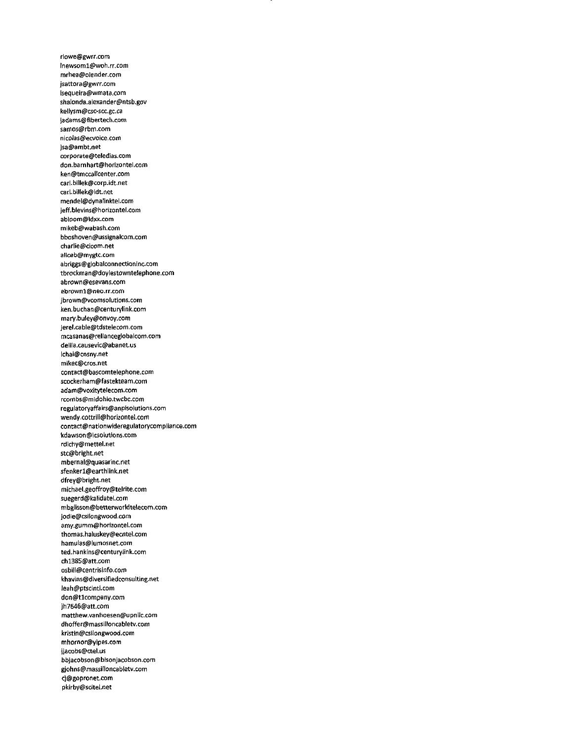rlowe@gwrr.com lnewsoml@woh.rr.com mrhea@olender.com jsattora@gwrr.com lsequeira@wmata.com shalonda.alexander@ntsb.gov kellysm@csc-scc.gc.ca jadams@fibertech.com samos@rbm.com nicolas@ecvoice.com jsa@ambt.net corporate@teledias.com don.barnhart@horizontel.com ken@tmccailcenter.com carl.biliek@corp.idt.net carl.bUlek@idt.net mendel@dynalinktel.com jeff.bievins@horizontel.com abloom@ldxx.com mikeb@wabash.com bboshoven@ussignalcom.com charlie@cicom.net aliceb@mygtc.com abriggs@globalconnectioninc.com tbrockman@doylestowntelephone.com abrown@esevans.com ebrownl@neo.rr.com jbrown@vcomsoiutions.com ken,buchan@centurYlink.com marv.buley@onvoy.com jerel.cable@tdstelecom.com mcasanas@relianceglobalcom.com delila.causevic@abanet.us lchai@cnsny.net mikec@cros.net contact@bascomtelephone.com scockerham@fastekteam.com adam@voxityteIecom.com rcombs@midohio.twcbc.com regulatoryaffairs@anpisolutions.com wendy.cottrill@horizontel.com contact@nationwideregulatorycompliance.com kdawson@icsolutions.com rdichy@mettel.net stc@bright.net mbernal@quasarinc.net sfenkerl@earthlink.net dfrey@bright.net michaei.geoffroy@telrite.com suegerd@kalidatel.com mbglisson@betterworldtelecom.com jodie@csilongwood.com amy.gumm@horizontel.com thomas.haluskey@ecntel.com hamulas@lumosnet.com ted.hankins@centurylink.com chl385@att.com osbill@centrisinfo.com khavins@divevsifiedconsulting.net leah@ptscinti.com don@tlcompany.com jh7646@att.com matthew.vanhoesen@upnllc.com dhoffer@massilloncabletv.com kristin@csilongwood.com mhornor@yipes.com jjacobs@ctel.us bbjacobson@bisonjacobson.com gjohns@massilloncabletv.com cj@gopronet.com pkirby@scitel.net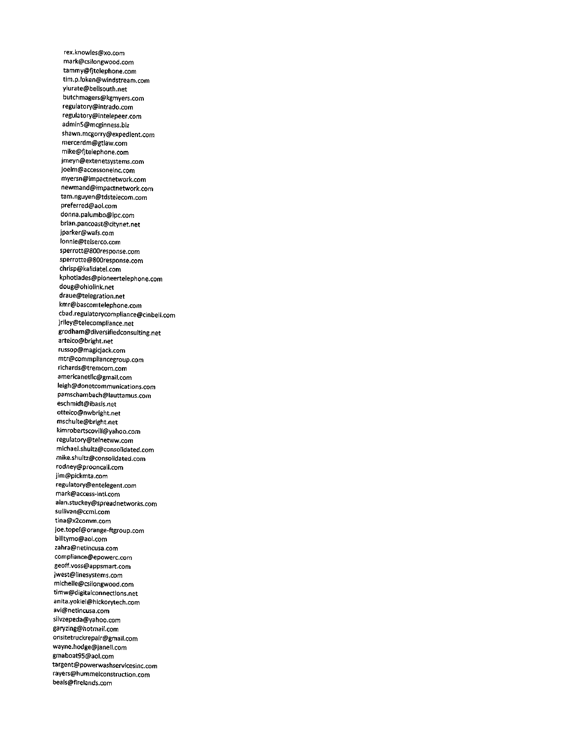rex.knowles@xo.com mark@csilongwood.com tammy@fjtelephone.com tim.p.loken@windstream.com ylurate@bellsouth.net butchmagers@kgmyers.com regulatory@intrado.com regulatory@intelepeer.com adminS@mcginness.biz shawn.mcgorry@expedient.com mercerdm@gtlaw.com mike@fjtelephone.com jmeyn@extenetsystems.com joelm@accessoneinc.com myersn@impactnetwork.com newmand@impactnetwork.com tam.nguyen@tdstelecom.com preferred@aol.com donna.palumbo@ipc.com brian.pancoast@citynet.net jparker@wafs.com lonnie@telserco.com sperrott@800response.com sperrotte@800response.com chrisp@kalidatel.com kphotiades@pioneertelephone.com doug@ohiolink.net draue@telegration.net kmr@bascomtelephone.com cbad.regulatorycompliance@cinbell.com jriley@telecompliance.net grodham@diversifiedconsulting.net artelco@bright.net russop@magicjack.com mtr@commpiiancegroup.com richards@tremcom.com americanetllc@gmail.com leigh@donetcommunications.com pamschambach@lauttamus.com eschmidt@ibasis.net ottelco@nwbright.net mschulte@bright.net kimrobertscovill@yahoo.com reguIatory@telnetww.com michael.shultz@consolidated.com mike.shultz@consolidated.com rodney@prooncall.com jim@pickmta.com regulatorY@entelegent.com mark@access-intl.com alan.stuckey@spreadnetworks.com sullivan@ccmi.com tina@x2comm.com joe.topel@orange-ftgroup.com billtymo@aol.com zahra@netincusa.com compliance@epowerc.com geoff.voss@appsmart.com jwest@linesystems.com michelle@csilongwood.com timw@digitalconnections.net anita.yokiel@hickorytech.com avi@netincusa.com silv2epeda@yahoo.com garvzing@hotmail.com onsitetruckrepair@gmail.com wayne.hodge@janell.com gmabo3t95@aol.com targent@powerwashservicesinc.com rayers@hummelconstruction.com beals@firelands.com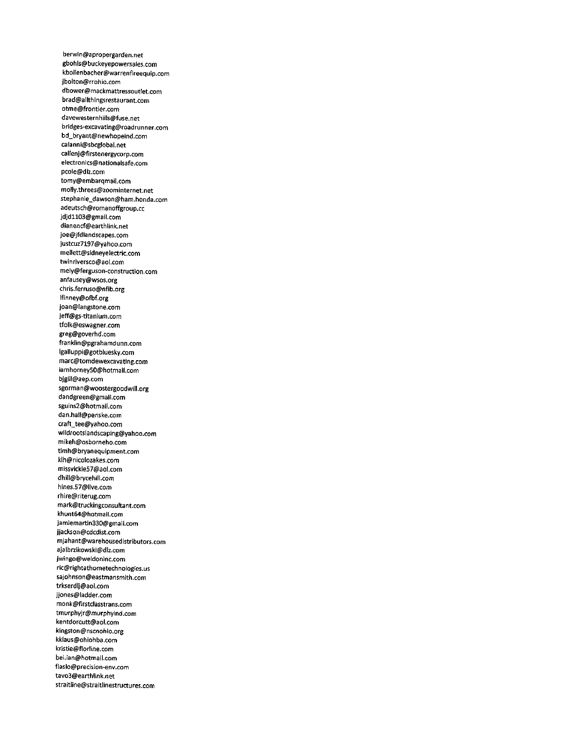berwin@apropergarden.net gbohls@buckeyepowersales.com kbollenbacher@warrenfireequip.com jbolton@rrohio.com dbower@mackmattressoutlet.com brad@allthingsrestaurant.com otme@frontier.com davewesternhills@fuse.net bridges-excavating@roadrunner.com bd\_bryant@newhopeind.com caianni@sbcglobal.net calIenj@firstenergycorp.com electronics@nationaisafe.com pcole@dlz.com tomy@embarqmail.com molly.threes@20ominternet.net stephanie\_dawson@ham.honda.com adeutsch@romanoffgroup.cc jdjdll03@gmaii.com dianencf@earthiink.net joe@jfdiandscapes.com justcuz7l97@yahoo.com mellett@sidneyelectric.com twinriversco@aol.com mely@ferguson-construction.com anfausey@wsos.org chris.ferruso@nfib.org lfinney@ofbf.org joan@Iangstone.com jeff@gs-titanium.com tfoik@eswagner.com greg@goverhd.com frankiin@pgrahamdunn.com lgaiIuppi@gotbluesky.com marc@tomdewexcavating.com iamhorney50@hotmaii.com bjgill@aep.com sgorman@woostergoodwili.org dandgreen@gmail.com sguins2@hotmaii.com dan.hail@penske.com craft\_tee@yahoo.com wiidrootslandscaping@yahoo.com mikeh@osborneho.com timh@bryanequipment.com klh@nicoiozakes.com missvickie57@aol.com dhill@brvcehiil.com hines.57@iive.com rhire@riterug.com mark@truckingconsuitant.com khunt64@hotmaii.com jamiemartin330@gmail.com jjackson@cdcdist.com mjahant@warehousedistributors.com ajalbrzikowski@dlz.com jwingo@weidoninc.com ric@rightathometechnoiogies.us sajohnson@eastmansmith.com trkserdij@aoi.com jjones@iadder.com monk@firstciasstrans.com tmurphyjr@murphyind.com kentdorcutt@aoi.com kingston@nscnohio.org kkiaus@ohiohba.com kristie@fiorline.com bei.ian@hotmaii.com fiasio@precision-env.com tavo3@earthlink.net straitline@straitiinestructures.com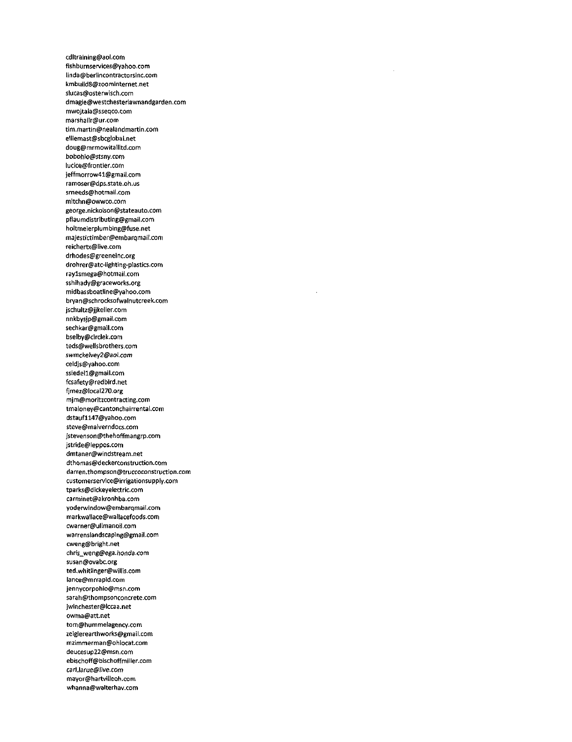cdltraining@aol.com fishburnservices@yahoo.com linda@berlincontractorsinc.com kmbuild8@zoominternet.net slucas@osterwisch.com dmagie@westchesterlawnandgarden.com mwojtala@sseqco.com marshalir@ur.com tim.martin@nealandmartin.com eliiemast@sbcglobai.net doug@mrmowitaliltd.com bobohio@stsny.com lucice@frontier.com jeffmorrow41@gmail.com ramoser@dps.state.oh.us srneeds@hotmail.com mitchn@owwco.com george.nickolson@stateauto.com pflaumdistributing@gmail.com holtmeierplumbing@fuse.net maiestictimber@emfaarqmail.com reichertx@live.com drhodes@greeneinc.org drohrer@atc-lighting-plastics.com raylsmega@hotmail.com sshihady@graceworks.org midbassboatline@yahoo.com bryan@schrocksofwalnutcreek.com jschuitz@jjkeller.com nnkbysjp@gmail.com sechkar@gmail.com bseiby@circlek.com teds@wellsbrothers.com swmckelvey2@aol.com celdjs@yahoo.com ssiedell@gmail.com fcsafety@redbird.net fjmez@local270.org mjm@moritzcontracting.com tmaloney@cantonchalrrental.com dstaufll47@yahoo.com steve@malverndocs.com jstevenson@thehoffmangrp.com jstride@leppos.com dmtaner@windstream.net dthomas@deckerconstruction.com darren.thompson@truccoconstruction.com customerservice@irrigationsupply.com tparks@dickeyelectric.com carminet@akronhba.com yoderwindow@embarqmail.com markwallace@wallacefoods.com cwarner@ullmanoil.com warrenslandscaping@gmail.com cweng@bright.net chris\_weng@ega.honda.com susan@ovabc.org ted.whitiinger@willis.com lance@mrrapid.com jennycorpohio@msn.com sarah@thompsonconcrete.com jwinchester@lccaa.net owma@att.net tom@hummelagency.com zeiglerearthworks@gmail.com mzimmerman@ohiocat.com deucesup22@msn.com ebischoff@bischoffmiller.com carl.larue@live.com mayor@hartvilleoh.com whanna@walterhav.com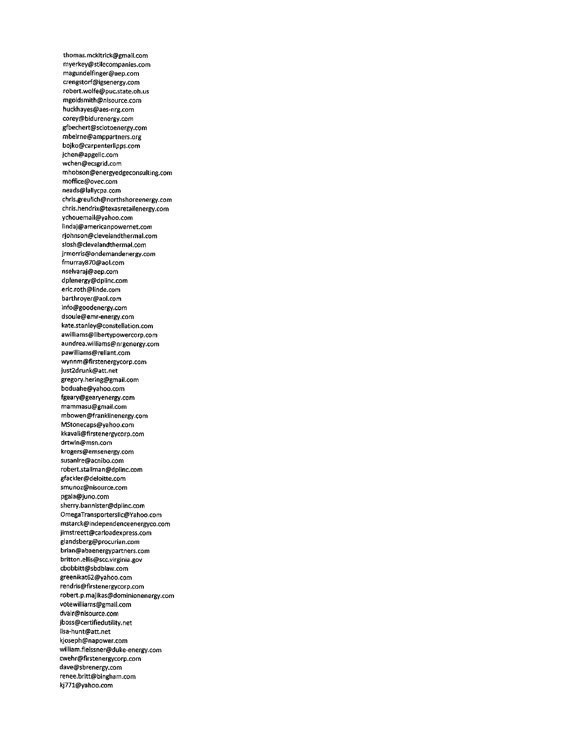thomas.mckitrick@gmail.com myerkey@stilecompanies.com magundelfinger@aep.com crengstorf@igsenergy.com robert.wolfe@puc.state.oh.us mgoldsmith@nisource.com huckhayes@aes-nrg.com corey@bidurenergy.com gfbechert@sciotoenergy.com mbeirne@amppartners.org bojko@carpenterlipps.com jchen@apgellc.com wchen@ecsgrid.com mhobson@energyedgeconsulting.com moffice@ovec.com neads@lallycpa.com chris.greulich@northshoreenergy.com chris.hendrix@texasretailenergy.com ychouemail@yahoo.com lindaj@americanpowernet.com rjohnson@clevelandtherm3l.com slosh@clevelandthermal.com jrmorris@ondemandenergy.com fmurray870@aol.com nselvaraj@aep.com dplenergy@dplinc.com eric.roth@linde.com barthroyer@aol.com info@goodenergy.com dsoule@emr-energy.com kate.stanley@constellation.com awilllams@libertypowercorp.com aundrea.williams@nrgenergy.com pawilliams@reliant.com wynnm@firstenergycorp.com just2drunk@att.net gregory.hering@gmaii.com boduahe@yahoo.com fgearY@gearyenergy.com mammasu@gmaii.com mbowen@franklinenergy.com MStonecaps@yahoo.com kkavaii@firstenergycorp.com drtwin@msn.com krogers@emsenergy.com susanlre@acnibo.com robert.stailman@dpiinc.com gfackler@deloitte.com smunoz@nisource.com pgaia@juno.com sherry.bannister@dpiinc.com OmegaTransporterslic@Yahoo.com mstarck@independenceenergyco.com jimstreett@carloadexpress.com giandsberg@procurian.com brian@abaenergypartners.com britton.eilis@scc.virginia.gov cbobbitt@sbdbiaw.com greenikat62@yahoo.com rendris@firstenergycorp.com robert.p.majikas@dominionenergy.com votewiiiiams@gmail.com dvair@nisource.com jboss@certifiedutiiity.net iisa-hunt@att.net kjoseph@napower.com wiiiiam.fieissner@duke-energy.com cwehr@firstenergycorp.com dave@sbrenergy.com renee.brltt@bingham.com kj771@yahoo.com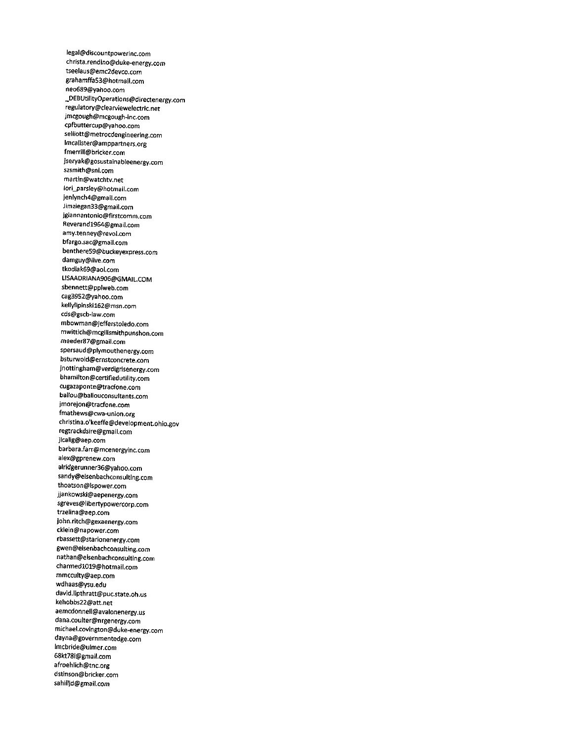legal@discountpowerinc.com christa.rendino@duke-energy.com tseelaus@emc2devco.com grahamffaS3@hotmaii.com neo689@yahoo.com \_DEBUtilityOperations@directenergy.com regulatory@clearviewelectric.net jmcgough@mcgough-inc.com cpfbuttercup@yahoo.com selliott@metrocdengineering.com lmcalister@amppartners.org fmerrill@bricker.com jseryak@gosustainableenergy.com szsmith@snl.com martin@watchtv.net lori\_parsley@hotmail.com jenlynch4@gmail.com Jimziegan33@gmail.com jgiannantonio@firstcomm.com Reverandl964@gmail.com amy.tenney@revol.com bfargo.sac@gmail.com benthereS9@buckeyexpress.com damguy@live.com tkodiak69@aol.com LISAADRIANA906@GMAIL.COM sbennett@pplweb.com cag3952@yahoo.com kellylipinskil62@msn.com cds@gscb-law.com mbowman@jefferstoledo.com mwittich@mcgilismithpunshon.com meeder87@gmail.com spersaud@plymouthenergy.com bsturwold@ernstconcrete.com jnottingham@verdigrisenergy.com bhamiIton@certifiedutility,com cugazaponte@tracfone.com ballou@ballouconsultants.com jmorejon@tracfone.com fmathews@cwa-union.org Christina.o'keeffe@development.ohio.gov regtrackdsire@gmail.com jlcalig@aep.com barbara.farr@mcenergyinc.com alex@gprenew.com alridgerunner36@yahoo.com sandy@eisenbachconsulting.com thoatson@lspower.com jjankowski@aepenergy.com sgreves@libertypowercorp.com trzelina@aep.com john.ritch@gexaenergy.com cklein@napower.com rbassett@starionenergy.com gwen@eisenbachconsulting.com nathan@eisenbachconsulting.com charmedl019@hotmail.com mmcculty@aep.com wdhaas@ysu.edu david.lipthratt@puc.state.oh.us kehobbs22@att.net aemcdonnell@avalonenergy.us dana.coulter@nrgenergy.com michael.covington@duke-energy.com d3yna@governmentedge.com lmcbride@ulmer.com 68kt78i@gmail.com afroehlich@tnc.org dstinson@bricker.com sahilljd@gmail.com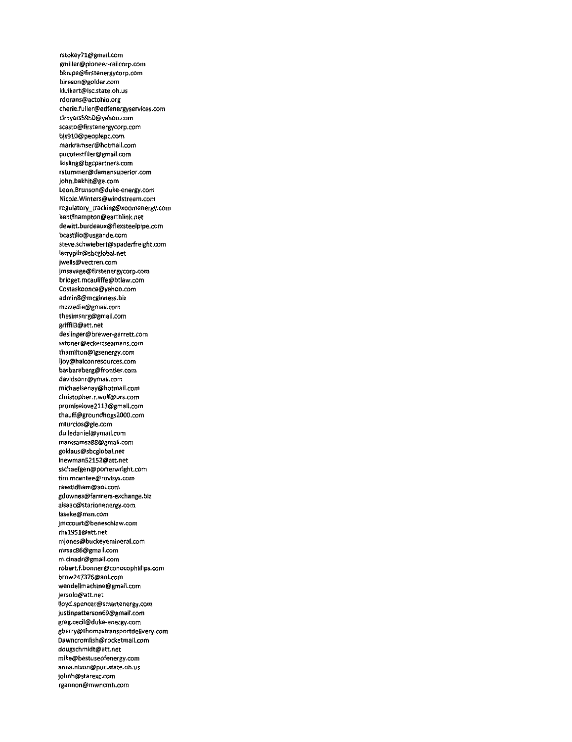rstokey71@gmail.com gmiller@pioneer-railcorp.com bknipe@firstenergycorp.com bireson@golder.com kluikart@lsc.state.oh.us rdorans@actohio.org cherie.fuller@edfenergyservices.com cimyers5950@vahoo.com scasto@firstenergycorp.com bjs910@peoplepc.com markramser@hotmail.com pucotestfiler@gmaiI.com iklsling@bgcpartners.com rstummer@damansuperior.com john.bakhit@ge.com Leon.Brunson@duke-energy.com Nicole.Winters@windstream.com regulatory\_tracking@xoomenergy.com kentfhampton@earthlink.net dewitt.burdeaux@fiexsteelpipe.com bcastillo@usgande.com steve.schwiebert@spaderfreight.com larrvpili@sbcglobal.net Jwells@vectren.com jmsavage@firstenergycorp.com bridget.mc3uliffe@btiaw.com Costaskoonce@yahoo.com admin8@mcginness.biz mzzzedie@gmail.com thesimsnrg@gmail.com griffil3@att.net deslinger@brewer-garrett.com sstoner@eckertseamans.com thamilton@igsenergy.com ljoy@halconresources.com barbaraberg@frontier.com davidsonr@ymail.com michaeisenay@hotmaii.com christopher.r.wolf@urs.com promiselove2113@gmail.com thauff@groundhogs2000.com mturcios@gie.com duiledaniei@ymail.com marksamsa88@gmail.com gokiaus@sbcglobal.net Inewman52152@att.net sschaefgen@porterwright.com tim.mcentee@rovisys.com ra6stldham@aol.com gdownes@farmers-exchange.biz aisaac@starionenergy.com laseke@msn.com jmccourt@beneschlaw.com rhsl951@att.net mjones@buckeyerninerai.com mrsac86@gmail.com m.cinadr@gmail.com robert.f.bonner@conocophiltips.com brow247376@aol.com wendellmachine@gmail.com jersolo@att.net llOYd.spencer@smartenergy.com justinpatterson69@gmail.com greg.cecil@duke-energy.com gberry@thomastransportdelivery.com Dawncromlish@rocketmail.com dougschmidt@att.net mike@bestuseofenergy.com anna.nlxon@puc.state.oh.us johnh@starexc.com rgannon@mwncmh.com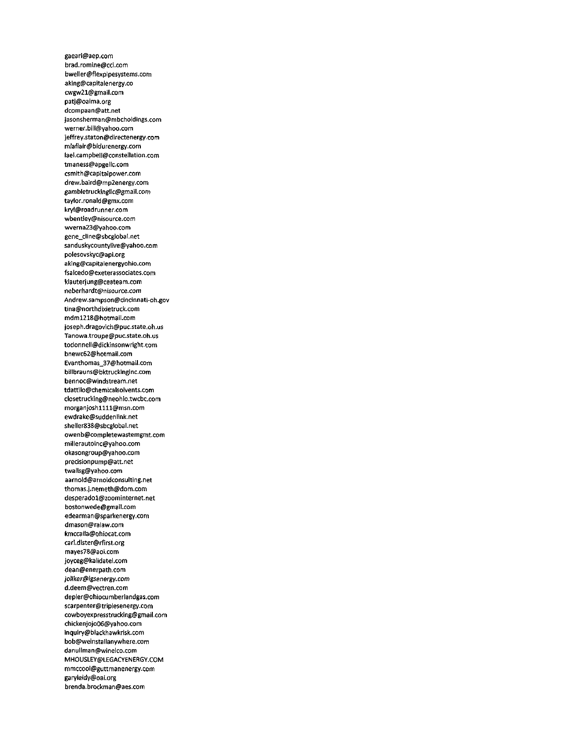gaearl@aep.com brad.romine@cci.com bweller@flexpipesystems.com aking@capitalenergy.co cwgw21@gmail.com patj@oaima.org dcompaan@att.net jasonsherman@mbcholdings.com werner.bill@yahoo.com jeffrey.staton@directenergy.com mlaflair@bidurenergy.com lael.campbell@constellation.com tmaness@apgeiic.com csmith@capitalpower.com drew.baird@mp2energy.com gambletruckingi)c@gmail.com taylor.ronald@gmx.com kryl@roadrunner.com wbentley@nisource.com wverna23@yahoo.com gene\_cline@sbcglobal.net sanduskycountylive@yahoo.com polesovskyc@api.org aking@capitaienergyohio.com fsalcedo@exeterassociates.com klauterjung@ceateam.com neberhardt@nisource.com Andrew.sampson@cincinnati-oh.gov tina@northdixietruck.com mdml218@hotmail.com joseph.dragovich@puc.state.oh.us Tanowa.troupe@puc.state.oh.us todonnell@dickinsonwright.com bnewc62@hotmail.com Evanthomas\_37@hotmail.com billbrauns@bktruckinginc.com bennoc@windstream.net tdattilo@chemicalsolvents.com closetrucking@neohio.twcbc.com morganjoshllll@msn.com ewdrake@suddeniink.net sheller838@sbcglobai.net owenb@completewastemgmt.com millerautoinc@yahoo.com okasongroup@yahoo.com precisionpump@att.net twallsg@yahoo.com 3arnold@arnoldconsulting.net thomas.j.nemeth@dom.com desperadol@zoominternet.net bostonwede@gmai1.com edearman@sparkenergy.com dmason@ralaw.com kmcca(Ia@ohiocat.com carl.dister@rfirst.org mayes78@aol.com joyceg@kalidatel.com dean@enerpath.com joJiker@igsenergy.com d.deem@vectren.com depler@ohiocumberlandgas.com 5carpenter@triplesenergy.com cowboyexpresstrucking@gmail.com chickenjojo06@yahoo.com inquiry@blackhawkrisk.com bob@weinstailanywhere.com danuilman@winelco.com MHOUSLEY@LEGACYENERGY.COM mmccool@guttmanenergy.com garyleidy@oai.org brenda.brockman@aes.com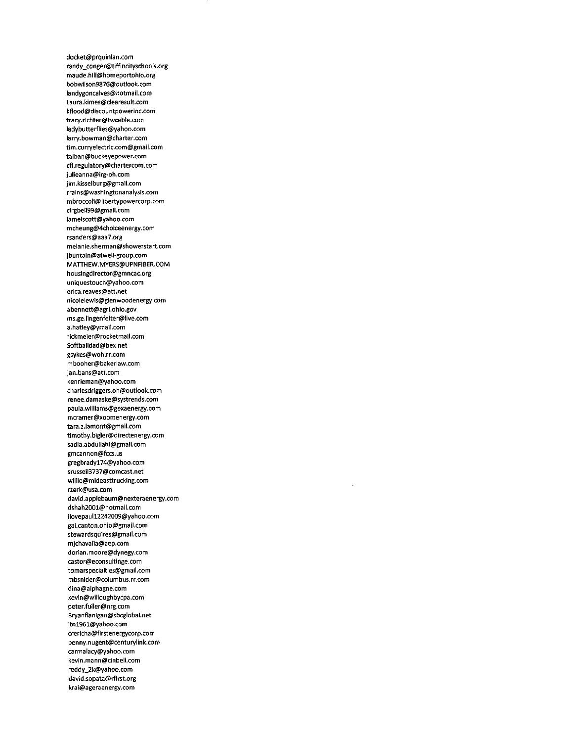docket@prquinlan.com randy\_conger@tiffincityschools.org maude.hill@homeportohio.org bobwilson9876@outlook.com landygoncalves@hotmail.com Laura.kimes@clearesult.com kflood@discountpowerinc.com tracy.richter@twcable.com ladybutterfiies@yahoo.com larry.bowman@charter.com tim.curryelectric.com@gmail.com talban@buckeyepower.com cfl.regulatory@chartercom.com julieanna@irg-oh.com jim.kisselburg@gmaii.com rrains@washingtonanaiysis.com mbroccoli@libertypowercorp.com cirgbeli99@gmail.com lamelscott@yahoo.com mcheung@4choiceenergy.com rsanders@3aa7.org melanie.sherman@showerstart.com jbuntain@atweli-group.com MATTHEW.MYERS@UPNF1BER.COM housingdirettor@gmncac.org uniquestouch@yahoo.com erica.reaves@att.net nicoieiewls@glenwoodenergy.com abennett@agri.ohio.gov ms.ge.lingenfelter@live.com a.hatiey@ymail.com rickmeier@rocketmail.com Softballdad@bex.net gsykes@woh.rr.com mbooher@bakeriaw.com jan.bans@att.com kenrieman@yahoo.com charlesdriggers.oh@outlook.com renee.damaske@systrends.com pauia.wiiiiams@gexaenergy.com mcramer@xoomenergy.com tara.z.lamont@gmail.com timothy.bigler@direttenergy.com sadia.abduiiahi@gmail.com gmcannon@fccs.us gregbradyl74@yahoo.com srussell3737@comcast.net wiiiie@mideasttrucking.com rzerk@usa.com david.applebaum@nexteraenergy.com dshah2001@hotmail.com ilovepaull2242009@yahoo.com gai.canton.ohio@gmail.com stewardsquires@gmaii.com mjchavaiia@aep.com dorian.moore@dynegy.com castor@econsultinge.com tomarspecialties@gmaii.com mbsnider@coiumbus.rr.com dina@alphagne.com kevin@wifloughbycpa.com peter.fuller@nrg.com Bryanflanigan@sbcglobal.net itnl961@yahoo.com crericha@firstenergycorp.com penny.nugent@centurylink.com carmalacy@yahoo.com kevin.mann@cinbell.com reddy\_2k@yahoo.com david.sopata@rfirst.org krai@ageraenergy.com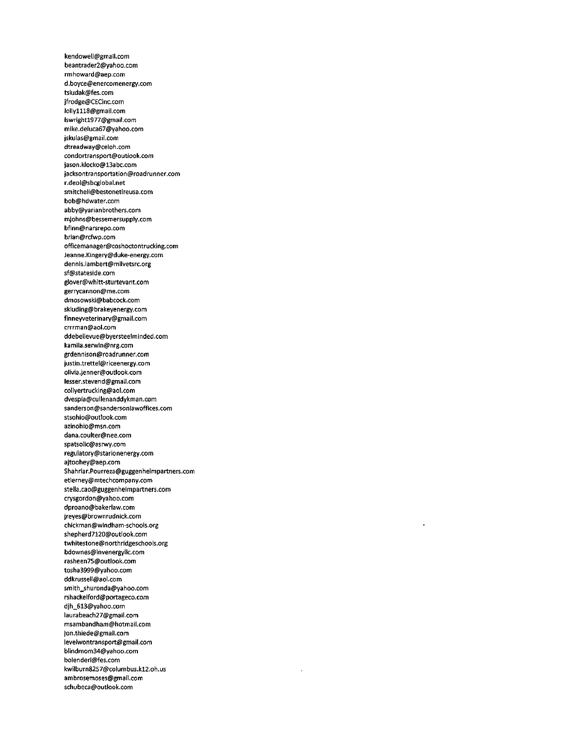kendowell@gmail.com beantrader2@yahoo.com rmhoward@aep.com d.boyce@enercomenergy.com tsiudak@fes.com jfrodge@CECinc.com loliylll8@gmati.com Iswrightl977@gmail.com mike.deluca67@yahoo.com jskuias@gmaii.com dtreadway@ceioh.com condortransport@outlook.com jason.klocko@13abc.com jacksontransportation@roadrunner.com r.deoi@sbcgiobai.net smitcheil@bestonetireusa.com bob@hdwater.com abby@yarianbrothers.com mjohns@bessemersupply.com bfinn@narsrepo.com brian@rcfwp.com officemanager@coshortontrucking.com Jeanne.Kingery@duke-energy.com dennis.iambert@milvetsrc.org sf@stateside.com glover@whitt-sturtevant.com gerrycannon@me.com dmosowski@babcock.com skiuding@brakeyenergy.com finneyveterinarY@gmail.com crrrman@aol.com ddebelievue@byersteelminded.com kamila.serwin@nrg.com grdennison@roadrunner.com justin.trettel@riceenergy.com olivia.jenner@outlook.com Iesser.stevend@gm3il.com collyertrucking@aol.com dvespia@cullenanddykman.com sanderson@sandersonlawoffices.com stsohio@outlook.com azinohio@msn.com dana.coulter@nee.com spatsolic@asnvy.com regulatory@starionenergy.com ajtoohey@aep.com Shahriar.Pourreza@guggenheimpartners.com etierney@mtechcompany.com stella.cao@guggenheimpartners.com crvsgordon@yahoo.com dproano@bakerlaw.com jreyes@brownrudnick.com chickman@windham-schools.org shepherd7120@outlook.com twhitestone@northridgeschools.org bdowne\$@invenergyllc.com rasheen75@outlook.com tosha3999@yahoo.com ddkrusseli@aoi.com smith\_shuronda@yahoo.com rshackelford@portageco.com djh\_613@yahoo.com Iaurabeach27@gmaii.com msambandham@hotmarl.com jon.thiede@gmaii.com levelwontransport@gmail.com blindmom34@yahoo.com bolenderl@fes.com kwilburn8257@columbus.kl2.oh.us ambro5emoses@gmai1.com schubeca@outlook.com

.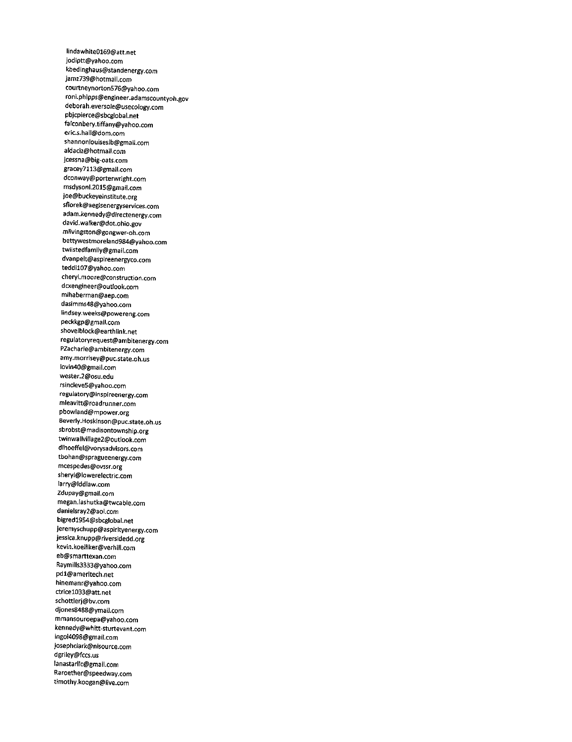Iindawhite0169@att.net jodiptt@yahoo.com kbedinghaus@standenergy.com jam2739@hotmail.com courtneynortonS76@yahoo.com roni.phipps@engineer.adamscountyoh.gov deborah.eversole@usecology.com pbjcpierce@sbcglobal.net falconbery.tiffany@yahoo.com eric.s.hall@dom.com shannonlouiseslb@gmail.com aldaci2@hotmail.com jcessna@big-oats.com gracey7113@gmail.com dconway@porterwright.com msdysonl.2015@gmail.com joe@buckeyeinstitute.org sflorek@aegisenergyservices.com adam.kennedy@directenergy.com david.walker@dot.ohio.gov mlivingston@gongwer-oh.com bettywestmoreland984@yahoo.com twiistedfamily@gmail.com dvanpelt@aspireenergyco.com teddil07@yahoo.com cheryl.moore@construction.com dcxengineer@outlook.com mlhaberman@aep.com dasimms48@yahoo.com iindsey.weeks@powereng.com peckkgp@gmail.com shovelblock@earthiink.net regulatoryrequest@ambitenergy.com PZacharie@ambitenergy.com amy.morrisey@puc.state.oh.us Iovin40@gmail.com wester.2@osu.edu rsincleve5@yahoo.com regulatory@inspireenergy.com mleavitt@roadrunner.com pbowiand@mpower.org Beverly.Hoskinson@puc.state.oh.us sbrobst@madisontownship.org twinwalivillage2@outlook.com dlhoeffel@vorysadvisors.com tbohan@spragueenergy.com mcespedes@ovssr.org sheryl@lowerelectric.com larry@lddlaw.com Zdupay@gmail.com megan.lashutka@twcable.com danielsray2@aol.com bigredl954@sbcglobal.net jeremyschupp@aspirityenergy.com jessica.knupp@riversldedd.org kevin.koeliiker@verhill.com eb@smarttexan.com Raymills3333@yahoo.com pdl@ameritech.net hinemanr@yahoo.com ctricel033@att.net schottlerj@bv.com djones8488@ymail.com mmansouroepa@yahoo.com kennedy@whitt-sturtevant.com lngol4098@gmail.com josephclark@nisource.com dgriley@fccs.us lanastarllc@gmail.com Raroether@speedway.com timothy.koogan@live.com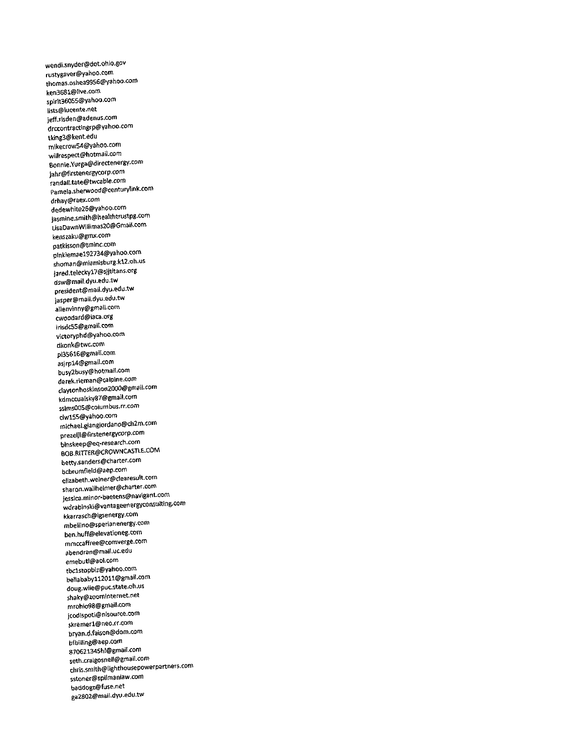wendi.snydef@dot.ohio.gov rustygaver@yahoo.com thomas.oshea9956@vahoo.com ken3681@live.com spirrt36055@yahoo,com lists@lucente.net jeff.risden@8denus.com drccontractingrp@yahoo.com tking3@kent.edu mikecrow54@yahoo.com wiiirespect@hotmail.com Bonnie.Yurga@directenergY-com jahr@firstenergycorp.com randall.tate@twcabte.com Pamela.sherwood@centurylink.com drhay@raex.com dedewhite26@yahoo.com jasmine.smith@healthtrustpg.com UsaDawnWillimas20@Gmait.com kenszaku@gmx.com patkisson@tminc.com pinkiemae192734@yahoo.com shoman@mtamisburg.kl2.oh.us j3red.teleckyl7@sj)titans.org dsw@mail.dyu.edu.tw president@mail.dyu.edu.tw jasper@mail.dyu.edu.tw alienvinny@gmail.com cwoodard@laca.org irisdc55@gmail.com victoryphd@yahoo.com dkonk@twc.com pl35616@gmail.com asjrpl4@gmaii.com busy2busy@hotmail.com derek.rieman@calpine.com claytonhoskinson2000@gmail.com kdmccualsky87@gmail.com ssims005@coiumbus.rr.com dwl55@yahoo.com michael.giangiordano@ch2m.com prezelji@firstenergycorp.com binskeep@eq-research.com eOB.RlTTER@CROWNCASTLE.COM betty.sanders@charter.com bcbrumfieid@aep.com elizabeth.weiner@dearesult.com sharon.wallhelmer@charter.com jessica.minor-baetens@navigant.com wdrabinski@vantageenergyconsulting.com kkarrasch@igsenergy.com mbellino@sperianenergy.com ben.huff@elevationeg.com mmccaffree@comverge.com abendran@mail.uc.edu emebutl@aol.com tbclstopbiz@vahoo.com bellababyll2011@gmail.com doug.wile@puc.state.oh.us shaky@zoominternet.net mrohio98@gmail.com jcodispoti@nisource.com skremerl@neo.rr.com bryan.d.faison@dom.com bfbilling@aep.com 870621345hl@gmail.com seth.craigosnell@gmail.com chris.smith@lighthousepowerpartners.com sstoner@spiImanlaw.com beddogz@fuse.net ga28Q2@mail.dyu.edu.tw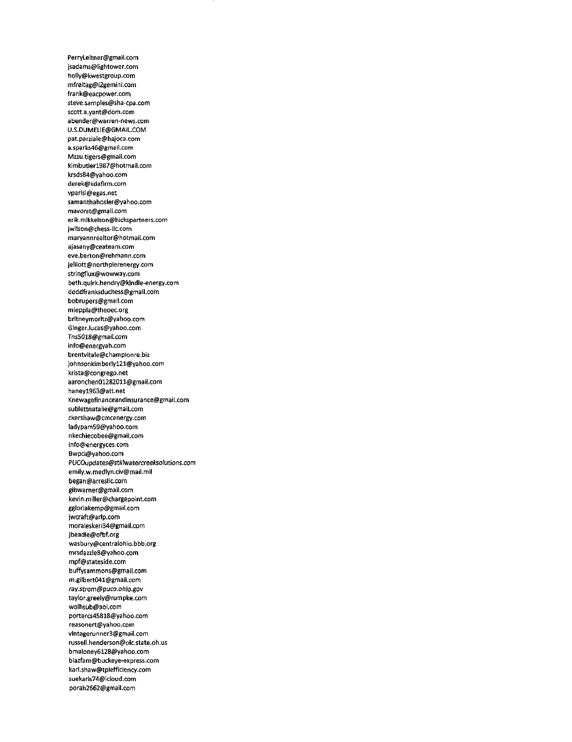PerrYLeitner@gmail.com jsadams@lightower.com holly@kwestgroup.com mfreitag@i2gem/ni.com frank@eacpower.com steve.samples@sha-cpa.com scott.a.yant@dom.com abender@warren-news.com U.S.DUMELIE@GMA1L.COM pat.parziale@hajoca.com a.sparks46@gmal1.com Mzzu.tigers@gmaii.com kimbutlerl987@hotmail.com krsds84@yahoo.com derek@kdafirm.com vparisi@egas.net samanthahosler@yahoo.com mavorst@gmail.com erik.mikkelson@hickspartners.com jwilson@chess-llc.com maryannrealtor@hotmail.com ajasany@ceateam.com eve.berton@rehmann.com jelliott@northpierenergy.com stringflux@wowway.com beth.quirk.hendry@kindle-energy.com doddfranksduchess@gmail.com bobrupers@gmail.com mleppla@theoec.org britneymoritz@yahoo.com Ginger.lucas@yahoo.com Tns5018@gmatl.com info@energyah.com brentvitale@championre.biz johnsonkimberlyl21@yahoo.com krista@congrego.net aaronchen01282011@gmaii.com haneyl963@att.net Knewagefinanceandinsurance@gmail.com sublettnataiie@gmail.com ckershaw@cmcenergy.com iadypam59@yahoo.com nkechiecobee@gmail.com info@energyces.com Bwpci@yahoo.com PUCOupdates@stillwatercreeksolutions.com emily.w.med1yn.civ@mail.mil began@arresllc.com gibwarner@gmail.com kevin.miller@chargepoint.com ggloriakemp@gmail.com jwcraft@arlp.com moraleskerl34@gmail.com jbeadle@ofbf.org wasbury@centralohio.bbb.org mrsdazz1eS@yahoo.com mpf@stateside.com buffysammons@gmail.com m.gilbert041@gmail.com ray.strom@puco.ohio.gov tayior.greely@rumpke.com wo1hsub@aol.com portercs45818@yahoo.com reasonert@yahoo.com vintagerunner3@gmail.com russeil.henderson@olc.state.oh.us bmaioney6128@yahoo.com blazfam@buckeye-express.com karl.shaw@tpiefficiency.com suekaris74@ictoud.com porah2662@gmaii.com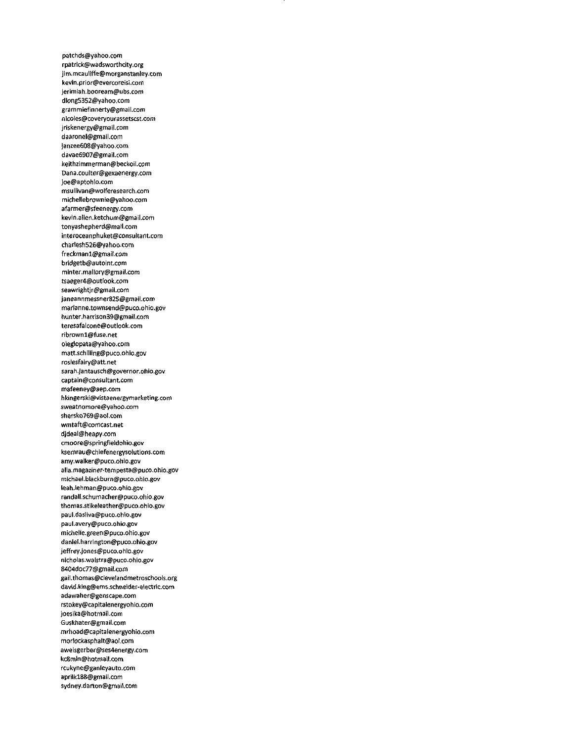patchds@yahoo.com rpatrick@wadsworthcity.org jim.mcauliffe@morganstanl6Y.com kevin.prior@evercoreisi.com jerimiah,booream@ubs.com dlongS352@yahoo.com grammiefinnerty@gmail.com nicoles@coveryourassetscst.com jriskenergy@gmail.com daaronel@gmaii.com janzee608@yahoo.com davae6907@gmail.com keithzimmerman@beckoii.com Dana.coulter@gexaenergy.com joe@aptohio.com msuiiivan@woiferesearch.com micheliebrownie@yahoo.com afarmer@sfeenergy.com kevin.alien.ketchum@gmail.com tonyashepherd@mail.com interoceanphuket@consultant.com charlesh526@yahoo.com freckmanl@gmail.com bridgetb@autoint.com minter.mallory@gmail.com tsaeger4@outlook.com seawrightjr@gmaii.com Janeannmessner825@gmail.com marianne.townsend@puco.ohio.gov hunter.harrison39@gmail.com teresafalcone@outlook.com ribrownl@fuse.net oleglopata@yahoo.com matt.schilling@puco.ohio.gov rosiesfairy@att.net sarah.jantausch@governor.ohio.gov captain@consultant.com mafeeney@aep.com hkingerski@vistaenergymarketing.com sweatnomore@yahoo.com shersko769@aol.com wmtaft@comcast.net djdeal@heapy.com cmoore@springfieldohio.gov ksemrau@chiefenergysolutions.com amy.waiker@puco.ohio.gov alia.magaziner-tempesta@puco.ohio.gov michael.blackburn@puco.ohio.gov leah.lehman@puco.ohio.gov randall.schumacher@puco.ohio.gov thomas.stikeleather@puco.ohio.gov paui.dasilva@puco.ohio.gov paul.avery@puco.ohio.gov michelle.green@puco.ohio.gov daniel.harrington@puco.ohio.gov jeffrey.jones@puco.ohio.gov nicholas.walstra@puco.ohio.gov 8404doc77@gmail.com gail.thomas@clevelandmetroschools.org david.king@ems.schneider-6lectric.com adawaher@genscape.com rstokey@capitalenergyohio.com joesika@hotmail.com Guskhater@gm3il.com mrhoad@capitalenergyohio.com morlockasphalt@aol.com aweisgerber@ses4energy.com kc8mln@hotmail.com rcukyne@ganleyauto.com aprilkl88@gmail.com SYdneY.darton@gmail.com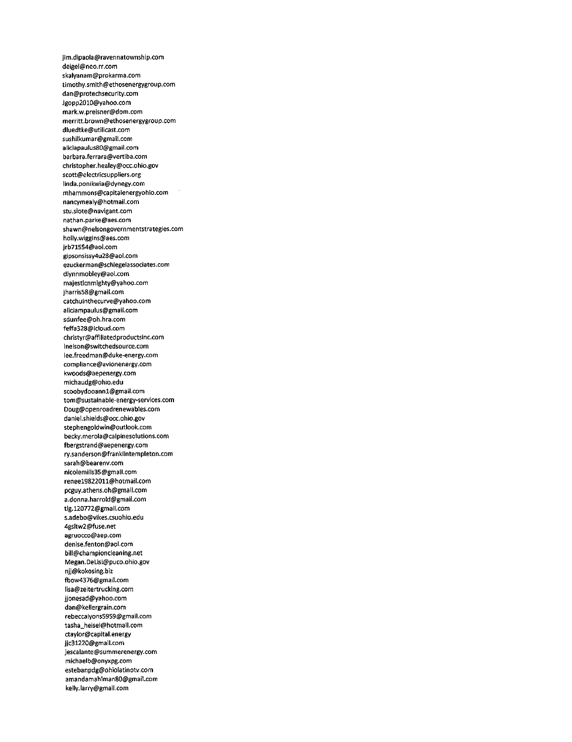jim.dipaola@ravennatownship.com deigel@neo.rr.com skalyanam@prokarma.com timothy.smith@ethosenergygroup.com dan@protechsecurity.com Jgopp2010@yahoo.com mark.w.preisner@dom.com merritt.brown@ethosenergygroup.com dluedtke@utilicast.com sushilkumar@gmail.com aiiciapaulus80@gmaii.com barbara.ferrara@vertiba.com christopher.healey@occ.ohio.gov scott@electricsuppiiers.org iinda.ponikwia@dynegy.com mhammons@capitaienergyohio.com nancymeaiy@hotmaii.com stu.siote@navigant.com nathan.parke@aes.com shawn@nelsongovernmentstrategies.com holiy.wiggins@aes.com jrb715S4@aoi.com gipsonsissy4u28@aoi.com ezuckerman@schiegeiassociates.com dlynnmobley@aoi.com majesticnmighty@yahoo.com jharris58@gmail.com catchuinthecurve@yahoo.com aiiciampaulus@gmail.com sdunfee@oh.hra.com feffa328@icloud.com christyr@affiiiatedproductsinc.com lneison@switchedsource.com iee.freedman@duke-energy.com compliance@avionenergy.com kwoods@aepenergy.com michaudg@ohio.edu scoobydooannl@gmaii.com tom@sustainable-energy-services.com Doug@openroadrenewables.com daniel.shieids@occ.ohio.gov stephengoidwin@outlook.com becky.merola@caipinesolutions.com fbergstrand@aepenergy.com ry.sanderson@frankiintempleton.com sarah@bearenv.com nicolemills35@gmail.com reneel9822011@hotmail.com pcguy.athens.oh@gmaii.com a.donna.harroid@gmail.com tig.120772@gmaii.com s.adebo@vikes.csuohio.edu 4gsitw2@fuse.net agruocco@aep.com denise.fenton@aoi.com biii@championcieaning.net Megan.DeLisi@puco.ohio.gov njj@kokosing.biz fbow4376@gmail.com iisa@zeitertrucking.com jjonesad@yahoo.com dan@keliergrain.com rebeccaiyons5959@gmail.com tasha\_heisel@hotmail.com ctaylor@capital.energy jjc3l220@gmail.com jescaiante@summerenergy.com michaelb@onyxpg.com estebanpdg@ohioiatinotv.com amandamahlman80@gmail.com keiiy.larry@gmaii.com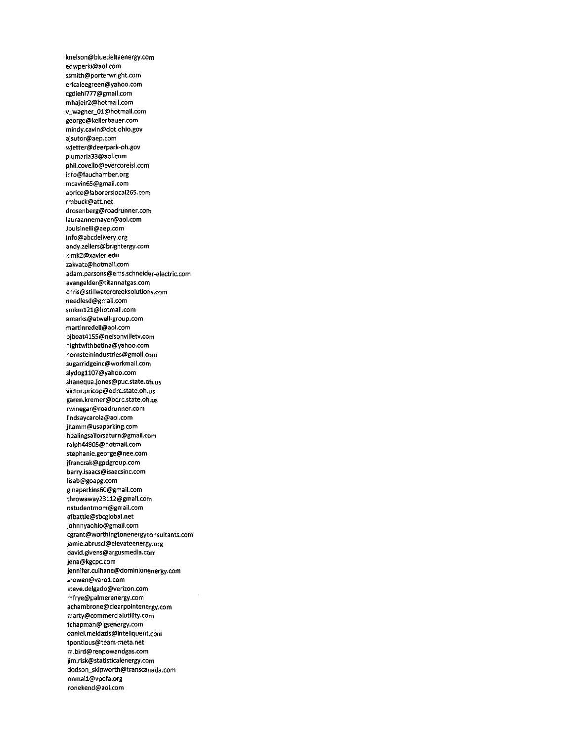knelson@bluedeltaenergy.com edwperki@aol.com ssmith@porterwright.com ericaleegreen@yahoo.com cgdiehl777@gmail.com mhajeir2@hotmaii.com v\_wagner\_01@hotmail.com george@kelierbauer.com mindy.cavin@dot.ohio.gov ajsutor@aep.com wjetter@deerpark-oh.gov piumaria33@aoi.com phii.covello@evercoreisi.com info@fauchamber.org mcavin65@gmail.com abrice@laborersiocal265.corn rmbuck@att.net drosenberg@roadrunner.com iauraannemayer@aol.com Jpulsinelli@aep.com lnfo@abcdelivery.org andy.zellers@brightergy.com kimk2@xavier.edu zakvatz@hotmail.com adam.parsons@ems.schneider-electric.com avangelder@titannatgas.com chris@stillwatercreeksolutions.com needlesd@gmail.com smkml21@hotmail.com amarks@atwell-group.com martinredell@aol.com pjboat4l55@nelsonvilletv.eom nightwithbetina@yahoo.com hornsteinindustries@gmail.com sugarridgeinc@workmail.corn slydogll07@yahoo.com shanequa.jones@puc.state.oh.us victor.pricop@odrc.state.oh.us garen.kremer@odrc.state.oh.us rwinegar@roadrunner.com lindsaycarola@aol.com jhamm@usaparking.com heaiingsailorsaturn@gmail.com ralph44905@hotmail.com stephanie.george@nee.com jfranczak@gpdgroup.com barry.isaacs@isaacsinc.com lisab@goapg.com ginaperkins60@gmail.com throwaway23112@gmail.corn nstudentmom@gmaii.com afbattle@sbcgiobal.net johnnyaohio@gmail.com cgrant@worthingtonenergyconsultants.com jamie.abrusci@elevateenergy.org david.givens@argusmedia.eom jena@kgcpc.com jennifer.culhane@dominionenergy.com srowen@varol.com steve.delgado@verizon.com mfrye@palmerenergy.com achambrone@clearpointenergy.com marty@commercialutility.eom tchapman@igsenergy.com danlel.meldazis@inteliquent.com tpontious@team-meta.net m.bird@renpowandgas.com jim.risk@statisticalenergy.com dodson\_skipworth@transcanada.com ohmaIl@vpofa.org ronekend@aoi.com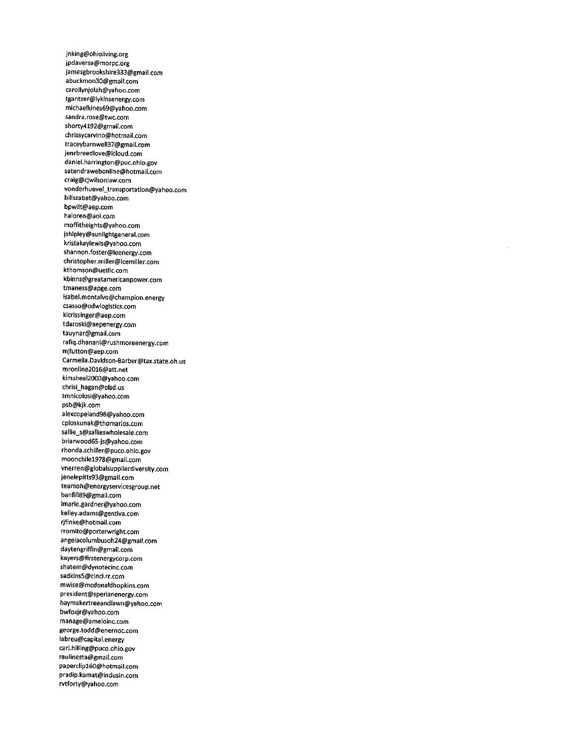jnking@ohioliving.org jpdaversa@morpc.org iamesgbrookshire333@gmail.com abuckmon30@gmail.com carollynjolah@yahoo.com tgantzer@lykinsenergy.com michaelkines69@yahoo.com sandra.rose@twc.com shorty4192@gmail.com chrissycarvino@hotmaiI.com traceybarnwellS7@gmail.com jenrbreedlove@icloud.com daniel.harrington@puc.ohio.gov satendrawebonline@hotmail.com craig@cjwilsonlaw.com vonderhuevel\_transportation@yahoo.com billszabat@yahoo.com bpwilt@aep.com haloren@aol.com moffitheights@yahoo.com jshipley@sunlightgeneral.com kristakaylewis@yahoo.com shannon.foster@leenergy.com christopher.miller@icemiller.com kthomson@uetllc.com kbinns@greatamericanpower.com tmaness@apge.com isabel.montalvo@champion.energy csasso@odwlogistics.com klcrissinger@aep.com tdaroski@aepenergy.com tauynar@gmail.com rafiq.dhanani@rushmoreenergy.com mjlutton@aep.com C3rmelia.Davidson\*Barber@tax.state.oh.us mronline2016@att.net kimsheal2000@yahoo.com chrisi\_hagan@olsd.us tmnicolosi@yahoo.com psb@kjk.com alexcopeland98@yahoo.com cploskunak@thomarios.com sallie\_s@sallieswholesale.com briarwood65-js@yahoo.com rhonda.schiller@puco.ohio.gov moonchilel978@gmail.com vnerren@globalsupplierdiversity.com jenelepitts93@gmail.com teamoh@energyservicesgroup.net banfill89@gmail.com lmarie.gardner@yahoo.com kelley.adams@gentiva.com rjfinke@hotmail.com rromito@porterwright.com angelacolumbusoh24@gmail.com daytengriffin@gmail.com kayers@firstenergycorp.com shatem@dynotecinc.com sadkins5@dnci.rr.com mwise@mcdonaldhopkins.com president@sperianenergy.com haymakertreeandlawn@yahoo.com bwfoxjr@yahoo.com manage@ameloinc.com george.todd@enernoc.com iabreu@capital.energy carl.hilling@puco.ohio.gov raulinesta@gmail.com paperclipl60@hotmail.com pradip.kamat@indusin.com rvtforty@yahoo.com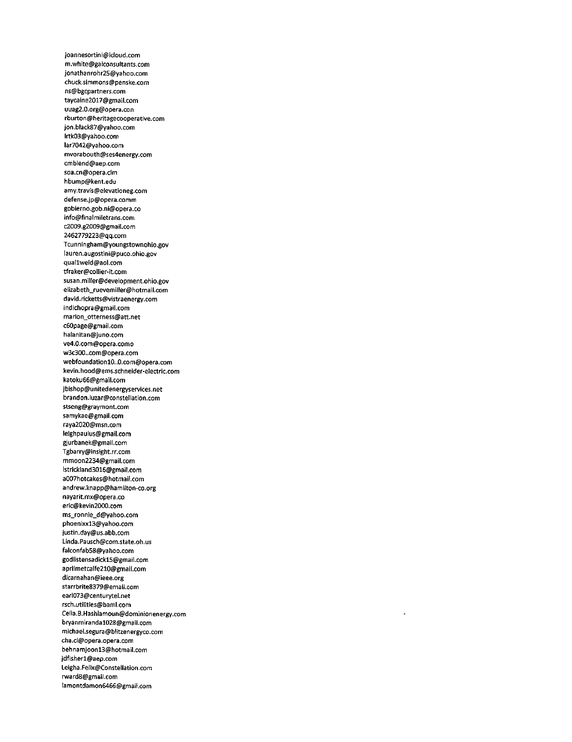joannesortini@idoud.com m.white@gaiconsultants.com jonathanrohr25@yahoo.com chuck.simmons@penske.com ns@bgcpartners.com taycaine20l7@gmail.com uuag2.0.org@opera.con rburton@heritagecooperative.com jon.black87@yahoo.com Irtk03@yahoo.com Iar7042@yahoo.com mvorabouth@ses4energy.com cmblend@aep.com soa.cn@opera.cim hbump@kent.edu amy.travis@eievationeg.com defense.jp@opera.comm gobierno.gob.ni@opera.co info@finalmiletrans.com c2009.g2009@gmail.com 2462779223@qq.com Tcunningham@youngstownohio.gov lauren.augostini@puco.ohio.gov quallweld@3ol.com tfraker@collier-it.com susan.miller@development.ohio.gov eliz3beth\_ruevemiller@hotmail.com david.ricketts@vistraenergy.com indichopra@gmail.com marion\_otterness@att.net c60page@gmail.com halanitan@juno.com ve4.0.com@opera.como w3c300..com@opera.com webfoundation10..0.com@opera.com kevin.hood@ems.schneider-electric.com katoku66@gmail.com jbishop@unitedenergyservices.net brandon.luzar@constellation.com stseng@graymont.com samykae@gmail.com raya2020@msn.com leighpaulus@gmail.com gjurbanek@gmail.com Tgbarry@insight.rr.com mmoon2234@gmail.com Istrickland3016@gmail.com a007hotcakes@hotmail.com andrew.knapp@hamilton-co.org nayarit.mx@opera.co eric@kevin2000.com ms\_ronnie\_d@yahoo.com phoenixxl3@yahoo.com justin.day@us.abb.com Linda.Pausch@com.state.oh.us falconfab58@yahoo.com godlistensadickl5@gmail.com aprilmetcalfe210@gmail.com dlcarnahan@ieee.org starrbrite8379@email.com earl073@centurytel.net rsch.utilities@baml.com Celia.B.Hashlamoun@dominionenergy.com bryanmirandal028@gmaii.com michael.segura@blitzenergyco.com cha.ci@opera.opera.com behnamjoonl3@hotmail.com jdfisherl@aep.com Leigha.Felix@Constellation.com rward8@gmaii.com Iamontdamon6466@gmaii.com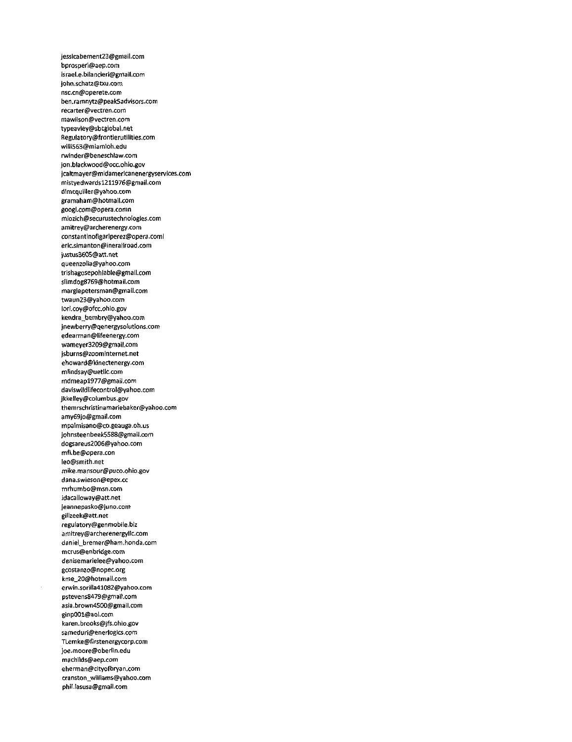jessicabement23@gmail.com bprosperi@aep.com israel.e.bilancieri@gmail.com john.schatz@txu.com nsc.cn@operete.com ben.ramnytz@peak5advisors.com recarter@vectren.com mawiison@vectren.com typeavley@sbcglobal.net Regulatory@frontierutilities.com wiiii563@miamioh.edu rwinder@beneschlaw.com jon.blackwood@occ.ohio.gov jcaltmayer@mid3merlcanenergyservices.com mistyedwardsl211976@gmail.com dlmcqulller@yahoo.com gramaham@hotmail.com googl.com@opera.comn mlozich@securustechnologies.com amitrey@archerenergy.com constantinofigariperez@opera.coml eric.simanton@inerailroad.com justus3605@att.net queenzolia@yahoo.com trishagosepohlable@gmail.com slimdog8769@hotmail.com margiepetersman@gmail.com twaun23@yahoo.com iori.coy@ofcc.ohio.gov kendra\_bembry@yahoo.com jnewberry@qenergysolutions.com edearman@lifeenergy.com wameyer3209@gmail.com jsburns@zoominternet.net ehoward@kinectenergy.com mlindsay@uetllc.com mdmeapl977@gmail.com daviswildlifecontrol@yahoo.com jkkelley@coiumbus.gov themrschristinamariebaker@yahoo.com amy69jo@gmail.com mpalmisano@co.geauga.oh.us johnsteenbeek5588@gmail.com dogsareus2006@yahoo.com mfi.be@opera.con leo@smith.net mike.mansour@puco.ohio.gov dana.swieson@epex.cc mrhumbo@msn.com idacalloway@att.net jeannepasko@juno.com gillzeek@att.net regulatory@genmobile.biz amitrey@archerenergyllc.com daniel\_bremer@ham.honda.com mcrus@enbridge.com denisemarielee@yahoo.com gcostanzo@nopec.org kme\_20@hotmail.com erwin.sorilla41082@yahoo.com pstevens8479@gmail.com asia.brown4500@gmaii.com ginp00l@aol.com karen.brooks@jfs.ohio.gov sameduri@enerlogics.com TLemke@firstenergycorp.com joe.moore@oberlin.edu machilds@aep.com eherman@cityofbryan.com cranston\_williams@yahoo.com phil.lasusa@gmail.com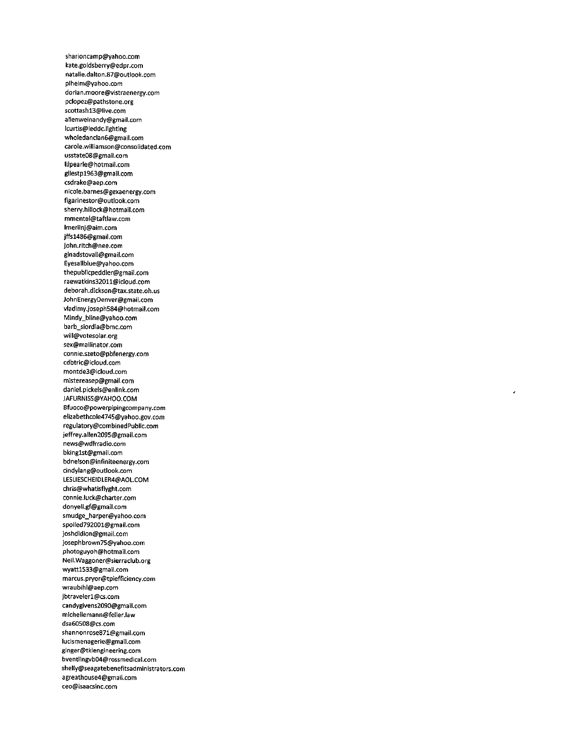sharioncamp@yahoo.com kate.goldsberry@edpr.com natalie.dalton.87@outlook.com plheim@yahoo.com dorian.moore@vistraenergy.com pclopez@pathstone.org scottashl3@live.com alienweinandy@gmail.com lcurtis@leddc.lighting wholedanclan6@gmail.com carole.williamson@consolidated.com usstate08@gmaii.com lilpearle@hotmail.com gilestpl963@gmail.com csdrake@aep.com nicole.barnes@gexaenergy.com figarinestor@outlook.com sherry.hiliock@hotmail.com mmentel@taftlaw.com lmerlinj@aim.com jffsl486@gmail.com john.ritch@nee.com ginad5tovall@gmail.com Eyesallblue@yahoo.com thepublicpeddler@gmail.com raewatkins32011@icloud.com deborah.dickson@tax.state.oh.us JohnEnergyDenver@gmail.com vladimy.josephS84@hotmail.com Mindy\_bline@yahoo.com barb\_siordia@bmc.com will@votesolar.org sex@mailinator.com connie.szeto@pbfenergy.com cdbtric@icloud.com montde3@icloud.com mistereasep@gmaii.com daniei.pickeis@enlink.com JAFURNiSS@YAHOO.COM Bfuoco@powerpipingcompany.com eiizabethcole4745@yahoo.gov.com reguiatorY@combinedPublic.com jeffrey.ailen2095@gmaii.com news@wdlrradio.com bkinglst@gmaii.com bdneison@infiniteenergy.com cindylang@outlook.com LESLIESCHEIDLER4@AOL.COM chris@whatisflyght.com connie.luck@charter.com donyell.gf@gmail.com smudge\_harper@yahoo.com spoiied792001@gmail.com joshdidion@gmaii.com josephbrown75@yahoo.com photoguyoh@hotmail.com Neii.Waggoner@sierraciub.org wyattl533@gmail.com marcus.pryor@tpiefficiency.com wraubihi@aep.com jbtr3velerl@cs.com candygivens2090@gmail.com micheilemann@felier.law dsa60508@cs.com shannonrose871@gmail.com lucismenagerie@gmail.com ginger@tklengineering.com bventlingvb04@rossmedical.com shelIy@seagatebenefitsadministrators.com agreathouse4@gmail.com ceo@isaacsinc.com

í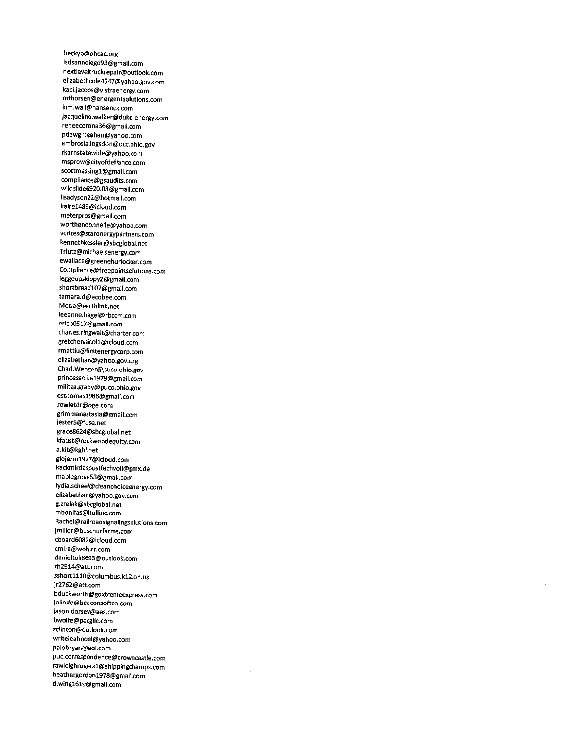beckyb@ohcac.org lsdsanndiego93@gmail.com nextleveltruckrepair@outiook.com elizabethcole4547@yahoo.gov.com kaci.jacobs@vistraenergy.com mthorsen@energentsolutions.com kim.waii@hansencx.com Jacqueiine.walker@duke-energy.com reneecorona36@gmail.com pdawgmeehan@yahoo.com ambrosia.logsdon@occ.ohio.gov rkarnstatewide@yahoo.com msprow@cityofdefiance.com scottmessingl@gmaii.com compiiance@gsaudits.com wildsiide6920.03@gmail.com lisadyson22@hotmaii.com kairel489@icioud.com meterpros@gmail.com worthendonnelie@yahoo.com vcrites@starenergypartners.com kennethkessier@sbcgiobal.net Triutz@michaeisenergy.com ewaliace@greenehurlocker.com Compliance@freepointsolutions.com Ieggeupskippy2@gmaii.com shortbreadl07@gmail.com tamara.d@ecobee.com Motla@earthlink.net leeanne.hagei@rbccm.com ericb0517@gmail.com charles.ringwalt@charter.com gretchennicoll@icioud.com rmattiu@firstenergycorp.com elizabethan@yahoo.gov.org Chad.Wenger@puco.ohio.gov princessmiial979@gmaii.com miiitza.grady@puco.ohio.gov esthomasl986@gmail.com rowietdr@oge.com grimmanastasia@gmail.com jester5@fuse.net grace8624@sbcgiobai.net kfaust@rockwoodequity.com a.kit@kghl.net glojerml977@icIoud.com kackmirdaspostfachvoii@gmx.de mapiegrove53@gmail.com lydia.scheel@cleanchoiceenergy.com elizabethan@yahoo.gov.com g.zrelak@sbcglobal.net mbonifas@hullinc.com Rachel@railroadsignalingsolutions.com jmiller@buschurfarms.com cboard6082@icloud.com cmira@woh.rr.com danieltoll8693@outlook.com rh2514@att.com sshortlll0@columbus.kl2.oh.us jr2762@att.com bduckworth@goxtremeexpress.com jolinde@beaconsoftco.com jason.dorsey@aes.com bwolfe@pecgllc.com zclinton@outlook.com writeleahnoel@yahoo.com palobryan@aol.com puc.correspondence@crowncastle.com rawleighrogersl@shippingchamps.com heathergordonl978@gmail.com d.wingl619@gmail.com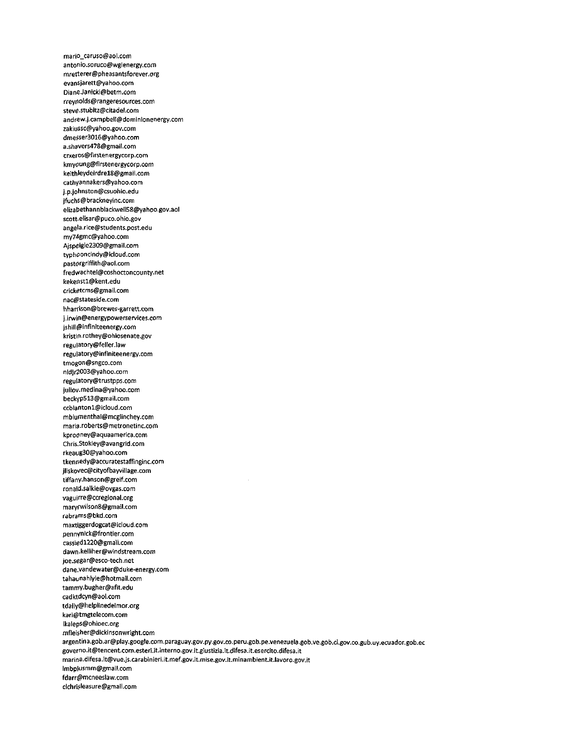mario\_caruso@aol.com antonio.soruco@wglenergy.com mretterer@pheasantsforever.org evansjarett@yahoo.com Diane.Janicki@betm.com rreyr50lds@rangeresources.com steve.stubitz@citadel.com andrew.j.campbell@dominionenergy.com zakiussc@yahoo.gov.com dme5ser3016@yahoo.com a.shavers478@gmail.com crxeros@firstenergycorp.com kmyoung@firstenergycorp.com keithleydeirdrel8@gmail.com cathyannakers@yahoo.com j.p.johnston@csuohio.edu jfuchs@brackneyinc.com elizabethannblackwell58@yahoo.gov.aol scott.elisar@puco.ohio.gov angela.rice@students.post.edu my74gmc@yahoo.com Aispeigle2309@gmail.com typhooncindy@icloud.com pastorgriffith@aol.com fredwachtel@coshoctoncounty.net kekenstl@kent.edu cricketcms@gmail.com nac@stateside.com hharrison@brewer-garrett.com j.irwin@energypowerservices.com jshill@infiniteenergy.com kristin.rothey@ohiosenate.gov reguiatory@feller.law regulatory@infiniteenergy.com tmogon@sngco.com nldjr2003@yahoo.com reguiatory@trustpps.com juliov.medina@yahoo.com beckyp5l3@gmail.com ccblantoni@icloud.com mblumenthal@mcglinchey.com maria.roberts@metronetinc.com kprodney@aquaamerica.com Chris.Stokley@avangrid.com rkeaug30@yahoo.com tkennedy@accuratestaffinginc.com jliskovec@cityofbayvillage.com tiffany.hanson@greif.com ronaid.\$a1kie@ovgas.com vaguirre@ccregional.org maryfwilson8@gmail.com rabrams@bkd.com maxtiggerdogcat@icloud.com pennynick@frontier.com cassiedl220@gmall.com dawn.kelliher@windstream.com joe.segar@esco-tech.net dane.vandewater@duke-energy.com tahaunahlyle@hotmail.com tammy.bugher@afit.edu cadktdcyn@aol.com tdaily@helpiinedelmor.org kari@tmgtelecom.com lkaleps@ohioec.org mfleisher@dickinsonwright.com 3rgentina.gob.ar@play.google.com.paraguay.gov.py.gov.co.peru.gob.pe.venezuela.gob.ve.gob.cl.gov.co.gub.uy.ecuador.gob.ee governo.it@tencent.com.esteri.it.interno.gov.it.giustizia.it.difesa.it.esercito.difesa.it marina.difesa.it@vue.js.carabinieri.it.mef.gov.it.mise.gov.it.minambient.it.lavoro.gov.it lmbplusmm@gmail.com fdarr@mcneeslaw.com clchrisleasure@gmail.com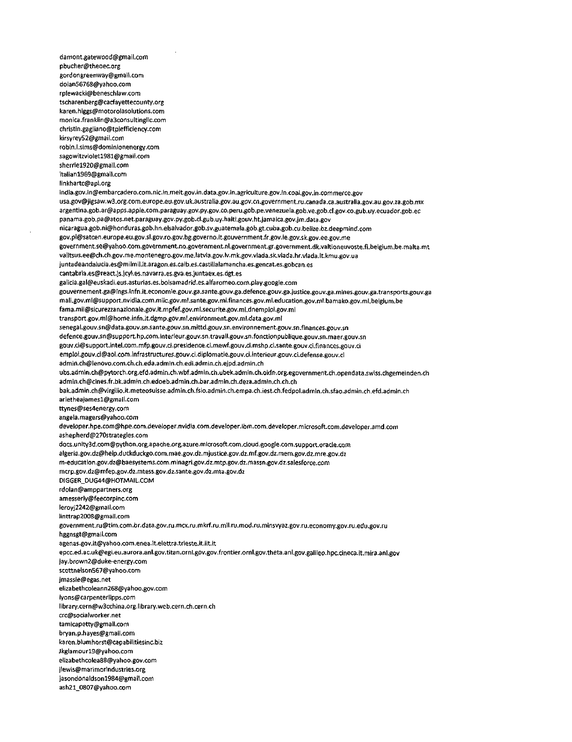damont.gatewood@gmail.com pbucher@theoec.org gordongreenway@gmail.com dolan56768@yahoo.com rplewacki@beneschlaw.com tscharenberg@cacfayettecounty.org karen.higgs@motorolasolutions.com monica.franklin@a3consuitinglic.com christin.gagiiano@tpiefficiency.com kirsyrey52@gmaii.com rQbin.l.sims@dominionenergy.com sagowitzvioletl981@gmail.com sherriel920@gmail.com itartanl969@gmail.com linkhartc@api.org india.gov.in@embarcadero.com.nic.in.meit.gov.in.data.gov.in.agriculture.gov.in.coal.gov.in.commerce.gov usa.gov@jigsaw.w3.org.com.europe.eu.gov.uk.australia.gov.au.gov.cn.government.ru.canada.ca.australia.gov.au.gov.za.gob.mx argentina.gob.ar@apps.apple.com.paraguay.gov.py.gov.co.peru.gob.pe.venezuela.gob.ve.gob.d.gov.co.gub.uy.ecuador.gob.ec panama.gob.pa@atos.net.paraguay.gov.py.gob.cl.gub.uy.haiti.gouv.ht.jamaica.gov.jm.data.gov nicaragua.gob.ni@honduras.gob.hn.elsaivador.gob.\$v.guatemala.gob.gt.cuba.gob.cu.belize.bz.deepmind.com gov.pl@satcen.europe.eu.gov.sl.gov.ro.gov.bg.governo.it.gouvernment.fr.gov.ie.gov.sk.gov.ee.gov.me government.se@yahoo.com.government.no.government.nl.government.gr.government.dk.valtioneuvoste.fi.belgium.be.malta.mt valitsus.ee@ch.ch.gov.me.montenegro.gov.me.latvia.gov.lv.mk.gov.vlada.sk.vlada.hr.vlada.lt.kmu.gov.ua juntadeandalucia.es@milmil.it.aragon.es.catb.es.castiilalamancha.es.gencat.es.gobcan.es cantabria.es@Teact.)s.icyl.es.navarra.es.gva.es.juntaex.es.dgt.es galicia.gal@euskadi.eus.asturias.es.bolsamadrid.es.alfaromeo.com.play.google.com gouvernement.ga@lngs.infn.it.economie.gouv.ga.sante.gouv.ga.defence.gouv.ga.justice.gouv.ga.mines.gouv.ga.transports.gouv.ga mali.gov.ml@support.nvidia.com.miic.gov.ml.sante.gov.ml.finances.gov.ml.education.gov.ml.bamako.gov.ml.belgium.be fama.mii@sicurezzanazionale.gov.it.mpfef.gov.ml.securite.gov.mi.dnemploi.gov.mi transport.gov.ml@home.infn.it.dgmp.gov.mi.environment.gov.ml.data.gov.ml senegal.gouv.sn@data.gouv.sn.sante.gouv.sn.mittd.gouv.sn.environnement.gouv.sn.finances.gouv.sn defence.gouv.sn@support.hp.com.interieur.gouv.sn.travail.gouv.sn.fonaionpublique.gouv.sn.maer.gouv.sn gouv.ci@support.intel.com.mfp.gQuv.ci.presidence.ci.mewf.gouv.d.mshp.ci.sante.gouv.ci.finances.gouv.ci emploi.gouv.ci@aol.com.infrastructures.gouv.ci.diplomatie.gouv.ci.interieur.gouv.ci.defense.gouv.ci admin.ch@ienovo.com.ch.ch.eda.admin.ch.edi.admin.ch.ejpd.admin.ch ubs.admin.ch@pytorch.org.efd.admin.ch.wbf.admin.ch.ubek.aclmln.ch.okfn.org.egovernment.ch.opendata.swiss.chgemeinden.ch admin.ch@cines.fr.bk.admin.ch.edoeb.admin.ch.bar.admin.ch.deza.admin.ch.ch.ch bak.admin.ch@virgilio.it.meteosuisse.admin.ch.fsio.admin.ch.empa.ch.iest.ch.fedpol.admin.ch.sfao.admin.ch.efd.admin.ch arletheaiames1@gmail.com ttynes@ses4energy.com angela.magers@yahoo.com developer.hpe.com@hpe.com.developer.nvidta.com.developer.ibm.com.developer.microsoft.com.developer.amd.com ashepherd@270strategies.com docs.unity3d.com@python.org.apache.org.azure.miaosoft.com.doud.google.com.support.oracle.com algeria.gov.dz@help.duckduckgo.com.mae.gov.dz.mjustice.gov.dz.mf.gov.dz.mem.gov.dz.mre.gov.dz m-education.gov.dz@baesystems.com.minagri.gov.dz.mtp.gov.dz.mas5n.gov.dz.salesforce.com map.gov.dz@mfep.gov.dz.mtess,gov.d2.sante.gov.dz.mta.gov.dz DlGGER\_DUG44@HOTMAIL.COM rdolan@amppartners.org amesserly@feecorpinc.com leroyj2242@gmail.com linttrap2008@gmail.com government.ru@tim.com.br.data.gov.ru.mcx.ru.mkrf.ru.mil.ru.mod.ru.min5vyaz.gov.ru.economy.gov.ru.edu.gov.ru hggnsgt@gmail.com agenas.gov.it@vahoo.com,enea.lt.elettra.trieste.it.iit.it epcc.ed.3c.uk@egi.eu.aurora.anl.gov.titan.ornl.gov.gov.frontier.ornl.gov.theta.anl.gov.galileo.hpc.cineca.it.mira.anl.gov jay.brown2@duke-energy.com scottnelson567@yahoo.com jmassie@egas.net elizabethcoleann268@yahoo.gov.com lyons@carpenterlipps.com library.cern@w3cchina.org.librarY.web.cern.ch.cern.ch crc@sociaIworker.net tarnicapetty@gmail.com bryan.p.hayes@gmail.com karen.biumhorst@capabiiitiesinc.biz Jkglamourl9@yahoo.com eiiZ3bethcolea88@yahoo.gov.com jiewis@marimoTindustries.org jasondonaldsonl984@gmail.com ash21\_0807@yahoo.com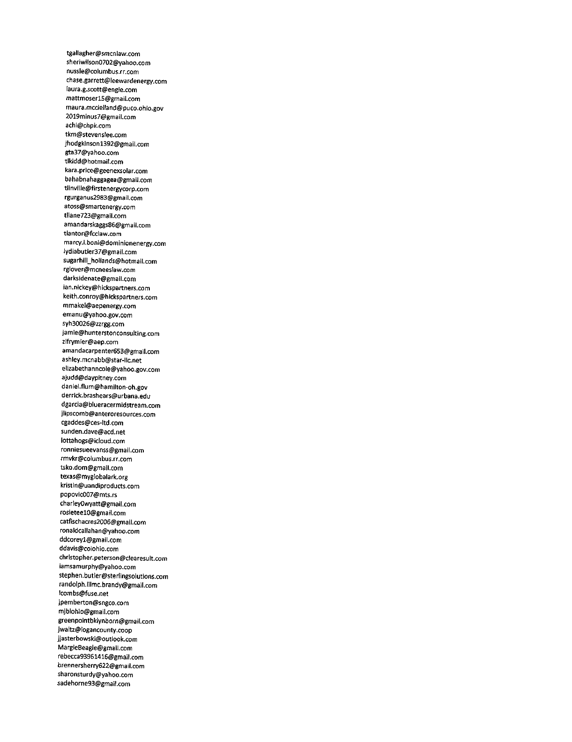tgallagher@smcnlaw.com sheriwilson0702@yahoo.com nussle@columbus.rr.com chase.garrett@leewardenergy.com laura.g.scott@engie.com mattmoserl5@gmail.com maura.mcdelland@puco.ohio.gov 2019minus7@gmail.com achi@chpk.com tkm@stevenslee.com jhodgkinson1392@gmail.com gta37@yahoo.com tlkidd@hotmail.com kara.price@geenexsolar.com bahabnahaggagea@gmail.com tlinville@firstenergycorp.com rgurganus2983@gmail.com atoss@smartenergy.com tllane723@gmail.com amandarskaggs86@gmail.com tlantor@fcclaw.com marcy.l.boni@dominionenergy.com lydiabutler37@gmail.com sugarhill\_hollands@hotmail.com rglover@mcneesIaw.com darksidenate@gmail.com ian.nickey@hickspartners.com keith.conroy@hickspartners.com mmakel@aepenergy.com emanu@yahoo.gov.com syh30026@zzrgg.com jamie@hunterstonconsulting.com zlfrymier@aep.com amandacarpenter653@gmail.com ashley.mcnabb@star-llc.net elizabethanncole@yahoo.gov.com ajudd@daypitney.com daniel.flum@hamilton-oh.gov derrick.brashears@urbana.edu dgarcia@blueracermidstream.com jlipscomb@anteroresources.com cgaddes@ces-ltd.com sunden.dave@acd.net iottahogs@icloud.com ronniesueevanss@gmail.com rmvkr@columbus.rr.com tsko.dom@gmail.com texas@mygiobalark.org kristin@uandiproducts.com popovic007@mts.rs charleyOwyatt@gmail.com rosieteelO@gmail.com catfischacres2006@gmail.com ronaldcallahan@yahoo.com ddcoreyl@gmail.com ddavis@coiohio.com christopher.peterson@clearesult.com iamsamurphy@yahoo.com stephen.butler@sterlingsolutions.com randolph.lilmc.brandy@gmail.com lcombs@fuse.net jpemberton@sngco.com mjblohio@gmail.com greenpointbklynborn@gmail.com jwaltz@logancounty.coop jjasterbowski@outlook.com MargieBeagle@gmail.com rebecca93961416@gmail.com brennersherry622@gmail.com sharonsturdy@yahoo.com sadehorne93@gmail.com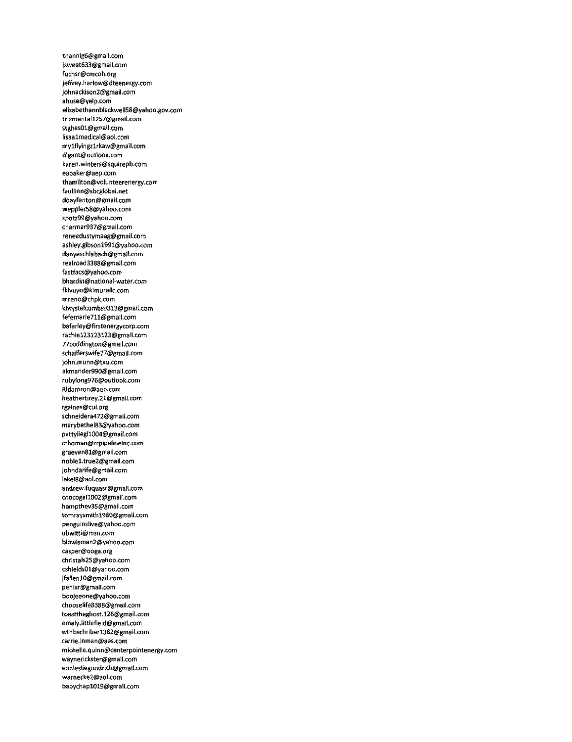thannig6@gmail.com jsweet633@gmail.com fuchsr@cmcoh.org jeffrey.harlow@dteenergy.com johnackison2@gmail.com abuse@yelp.com ellzabethannblackwell58@yahoo.gov.com trixmentall257@gmail.com stghes01@gmail.com lisaalmedical@aol.com mylflyingzlrkaw@gmail.com dlgant@outlook.com karen.winters@squirepb.com eabaker@aep.com thamilton@volunteerenergy.com faullinn@sbcglobal.net ddayfenton@gmaii.com weppler58@yahoo.com spotz99@yahoo.com charmar937@gmail.com reneedustymaag@gmail.com ashley.gibsonl991@yahoo.com danyeschlabach@gmail.com realroad3388@gmail.com fastfacs@yahoo.com bhardin@national-water.com fkivuyo@kimurallc.com mreno@chpk.com khrYst8lcombs9E13@gmail.com fefemarie711@gmail.com bafarley@firstenergycorp.com rachtel23123123@gmall.com 77coddington@gmail.com schafferswife77@gmail.com )ohn.munn@txu.com akmander990@gmaii.com rubylong976@outlook.com RIdamron@aep.com heathertirey.21@gmail.com rgaines@cul.org schnetdera472@gmail.com marybethel83@yahoo.com pattyliegll004@gmail.com cthoman@rrpipelineinc.com graeven81@gmail.com noblel.true2@gmail.com johndarife@gmail.com lakel\$@aol.com 3ndrew.fuquasr@gmail.com chocogall002@gmail.com hampthev35@gmaii.com tomraysmith1980@gmail.com penguinslive@yahoo.com ubwitti@msn.com bidwisman2@yahoo.com casper@ooga.org christals25@yahoo.com cshields01@yahoo.com jfallenlO@gmail.com penixr@gmail.com boojeeone@yahoo.com chooselife8388@gmail.com toasttheghost.l26@gmail.com emaly.iittlefield@gmail.com wthbschriberl382@gmail.com carrie.inman@aes.com michelle.quinn@centerpointenergy.com waynerickster@gmail.com erin(esliegoodrich@gmail.com warnecke2@aol.com babychapl019@gmail.com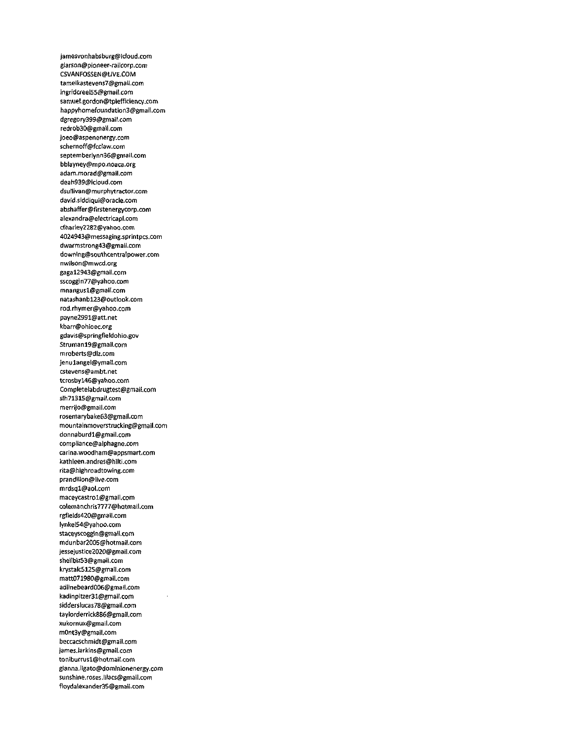jamesvonhabsburg@icloud.com glarson@pioneer-railcorp.com CSVANFOSSEN@LIVE.COM tameikastevens7@gmail.com ingridcreel55@gmail.com samuel.gordon@tpiefficiency.com happyhomefoundation3@gmatl.com dgregory399@gmail.com redrob30@gmail.com joeo@aspenenergy.com schernoff@fccIaw.com septemberlynn36@gmail.com bblayney@mpo.noaca.org adam.morad@gmail.com deah939@icloud.com dsullivan@murphytractor.com david.siddiqui@oraclexom abshaffer@firstenergycorp.com alexandra@electricapl.com cfharley2282@Yahoo.com 4024943@messaging.sprintpcs.com dwarmstrong43@gmail.com downing@southcentraIpower.com nwilson@mwcd.org gagal2943@gmail.com sscoggtn77@yahoo.com mnangusl@gm3il.com natashanbl23@outlook.com rod.rhymer@yahoo.com payne2991@att.net kbarr@ohioec.org gdavis@springfieldohio.gov Strumanl9@gmail.com mroberts@dlz.com jenulangel@ymail.com cstevens@ambt.net tcrosbYl46@yahoo.com Completelabdrugtest@gmail.com slh71315@gmail.com merrijo@gmail.com rosemarybake63@gmail.com mountainmoverstrucking@gmail.com donnaburdl@gmail.com compliance@alphagne.com Carina,woodham@appsmart.com kathleen.andres@hilti.com rita@highroadtowing.com prandilion@live.com mrdsql@aol.com maceycastrol@gmail.com colemanchris7777@hotmail.com rgfields420@gmail.com lynkel54@yahoo.com stacevscoggin@gmail.com mdunbar2005@hotmail.com jessejustice2020@gmail.com shellbiz53@gmail.com krystalc5125@gmail.com matt071980@gmail.com adltnebeard006@gmatl.com kadinpitzer31@gmail.com sidderslucas78@gm3il.com taylorderrick886@gmail.com xukornux@gmail.com m0nt3y@gmail.com beccacschmidt@gmail.com james.larkins@gmail.com toniburrusl@hotmaiI.com gianna.ligato@dominionenergy.com sunshine.roses.lilacs@gmail.com flovdal6xander35@gmail.com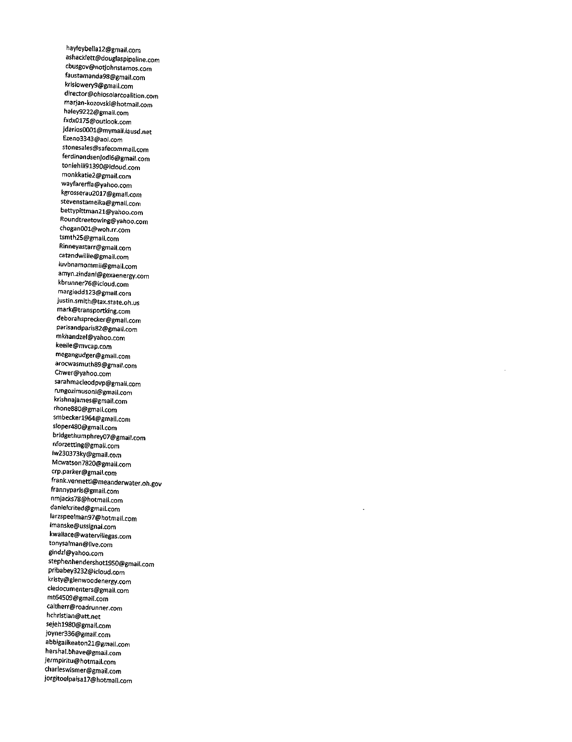hayleybellal2@gmail.com ashacklett@dougIaspipeline.com cbusgov@notjohnstamos.com faustamanda98@gmail.com krislowery9@gmail.com director@ohiosolarcoalition.com marjan-kozovski@hotmail.com haley9222@gmail.com fxdx0175@outlook.com jdarios0001@mymail.lausd.net Ezeno3343@aol.com stonesales@safecommail.com ferdinandsenjodi6@gmail.com toniehill9l390@icloud.com monkkatie2@gmail.com wayfarerfla@yahoo.com kgrosserau2017@gmail.com stevenstameika@gmail.com bettypittman21@yahoo.com Roundtreetowing@yahoo.com chogan001@woh.rr.com tsmth25@gmail.com Rinneyastarr@gmail.com catandwillie@gmaii.com luvbnamommii@gmail.com amyn.zindani@gexaenergy.com kbrunner76@icloud.com margieddl23@gmail.com justin.smith@tax.state.oh.us mark@transportking.com deborahsprecker@gmail.com parisandparis82@gmail.com mkhandzel@yahoo.com keelie@mvcap.com megangudger@gmail.com arocwasmuth89@gmail.com Chwer@yahoo.com sarahmacleodpvp@gmaii.com rungozimusoni@gmail.com krishnajames@gmail.com rhone880@gmail.com smbeckerl964@gmail.com sloper480@gmail.com bridgethumphrey07@gmail.com nforzetting@gmail.com Iw230373ky@gmail.com Mcwatson7820@gmail.com crp.parker@gmail.com frank.vennetti@meanderwater.oh.gov frannyparis@gmail.com nmjacks78@hotmall.com danielcrited@gmail.com larzspeelman97@hotmail.com lmanske@ussignal.com kwallace@watervillegas.com tonysalman@live.com gindzl@yahoo.com stephenhendershotl950@gmail.com pribabey3232@icloud.com kristy@glenwoodenergy.com dedocumenters@gmail.com mt64509@gmail.com caltherr@roadrunner.com hchristian@att.net sejehl980@gmail.com joyner336@gmaiI.com abbigailkeaton2l@gmail.com hershal.bhave@gmail.com jermpiritu@hotmail.com charleswismer@gmail.com jorgitoelpaisal7@hotmail.com

 $\ddot{\phantom{a}}$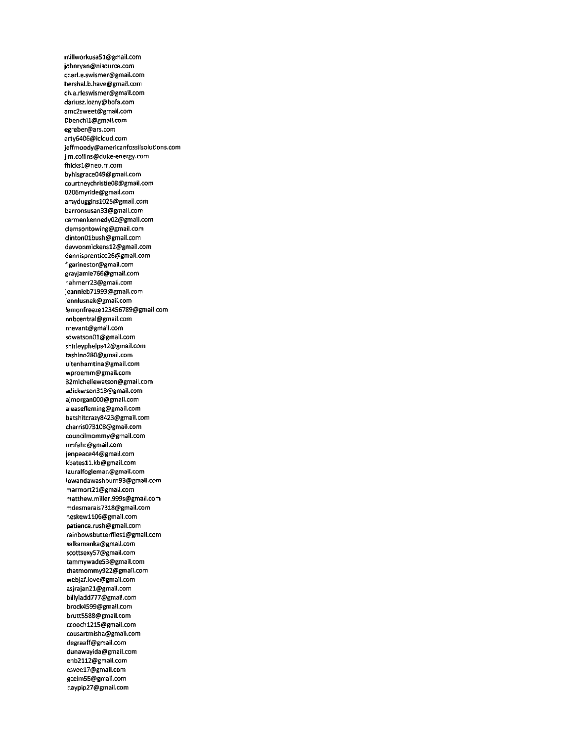millworkusa51@gmail.com johnryan@nisource.com charl.e.swismer@gmail.com hershal.b.have@gmail.com ch.a.rleswismer@gmail.com darius2.lozny@bofa.com amc2sweet@gmail.com Dbenchil@gmail.com egreber@ars.com arty6406@icloud.com jeffmoody@americanfossiisolutions.com jim.coilins@duke-energy.com fhicksl@neo.rr.com byhisgrace049@gmail.com courtneychristie08@gmail.com 0206myride@gmail.com amydugginsl025@gmail.com barronsusan33@gmail.com carmenkennedy02@gmaii.com ciemsontowing@gmaii.com ciinton01bush@gmail.com dawonmickensl2@gmaii.com dennisprentice26@gmaii.com figarinestor@gmail.com grayjamie766@gmail.com hahmerr23@gmaii.com jeannieb71993@gmail.com jennlusnek@gmail.com lemonfreezel23456789@gmail.com nnbcentrai@gmaii.com nrevant@gmail.com sdwatson01@gmail.com shirieypheips42@gmail.com tashino280@gmaii.com uitenhamtina@gmaii.com wproemm@gmail.com 32micheliewatson@gmaii.com adickerson318@gmail.com ajmorgan000@gmaii.com aieasefleming@gmaii.com batshitcrazy8423@gmail.com charris073108@gmail.com counciimommy@gmail.com innfahr@gmaii.com jenpeace44@gmaii.com kbatesll.kb@gmaii.com lauralfogleman@gmaiI.com lowandawashburn93@gmaii.com marmort21@gmaii.com matthew.milier.999s@gmaii.com mdesmarais7318@gmail.com neskewll06@gmail.com patience.rush@gmaii.com rainbowsbutterfiiesl@gmail.com saikamanka@gmaii.com scottsexy57@gmaii.com tammywade53@gmail.com thatmommy922@gmail.com webjaf.iove@gmail.com asjrajan21@gmail.com billYladd777@gmail.com brock4599@gmail.com brutt5588@gmail.com ccoochl215@gmaii.com cousartmisha@gmail.com degraaff@gmail.com dunawayida@gmail.com enb2112@gmail.com esveel7@gmail.com gcelm55@gmail.com haypip27@gmail.com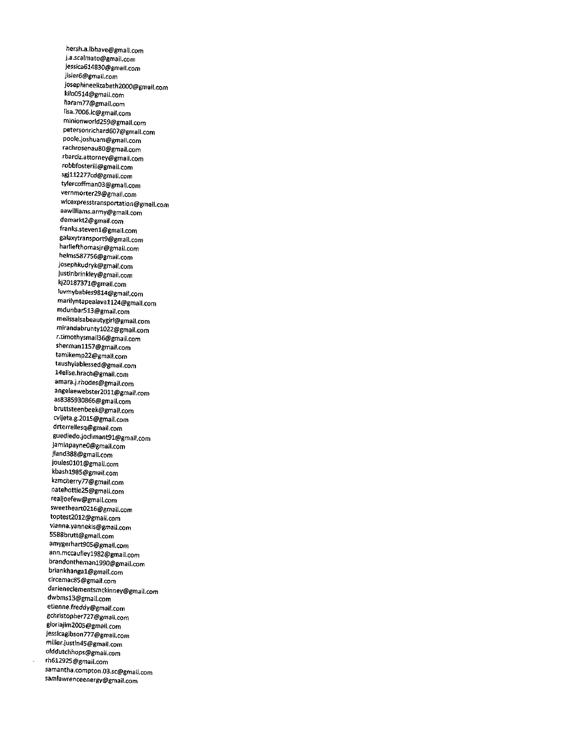hersh.a.lbhave@gmail.com j.a.scalmato@gmail.com jesstca614830@gmati.com jisler6@gmail.com josephineelizabeth2000@gmail.com kilo0514@gmail.com Naram77@gmail.com lisa.7006.lc@gmail.com minionworld2S9@gmail.com petersonrichard607@gmail.com poole.joshuam@gmail.com rachrosenau80@gmail.com rbarciz.attorney@gmail.com robbfosteriii@gmail.com sgjll2277cd@gmail.com tylercoffman03@gmail.com vernmorter29@gmail.com wlcexpresstransportation@gmail.com aawilliams.army@gmail.com demarkt2@gmail.com franks.stevenl@gmail.com galaxytransport9@gmail.com harliefthomasjr@gmail.com helms587756@gmail.com josephkudryk@gmail.com justinbrinkley@gmail.com kj20187371@gmail.com Iuvmybabies9814@gmail.com marilyntapealavall24@gmail.com mdunbar513@gmail.com melissaisabeautygirl@gmail.com mirandabruntyl022@gmail.com r.timothysmail36@gmail.com shermanll57@gmail.com tamikemp22@gmail.com taushyiablessed@gmail.com I4elise.hrach@gmail.com amara.j.rhodes@gmail.com angelaewebster201l@gmail.com as8385930866@gmail.com bruttsteenbeek@gmail.com cvijeta.g.2015@gmail.com drterrellesq@gmail.com guediedo.joclimant91@gmail.com jaminpayneO@gmail.com jland388@gmail.com joules0101@gmail.com kbashl985@gmail.com kzmcherry77@gmail.com natehottie25@gmail.com realjoefew@gmail.com sweetheart0216@gmail.com toptest2012@gmail.com vianna.yannekis@gmail.com 5588brutt@gmail.com amygerhart905@gmail.com ann.mccaulleyl982@gmail.com brandonthemanl990@gmail.com briankhangal@gmail.com circemac85@gmail.com darleneclementsmckinney@gmail.com dwbmsl3@gmail.com etienne.freddy@gmail.com gchristopher727@gmail.com gloriajim2005@gmail.com jessicagibson777@gmail.com miller.justin45@gmail.com olddutchhops@gmail.com rh612925@gmail.com samantha.compton.03.sc@gmail.com samlawrenceenergy@gmail.com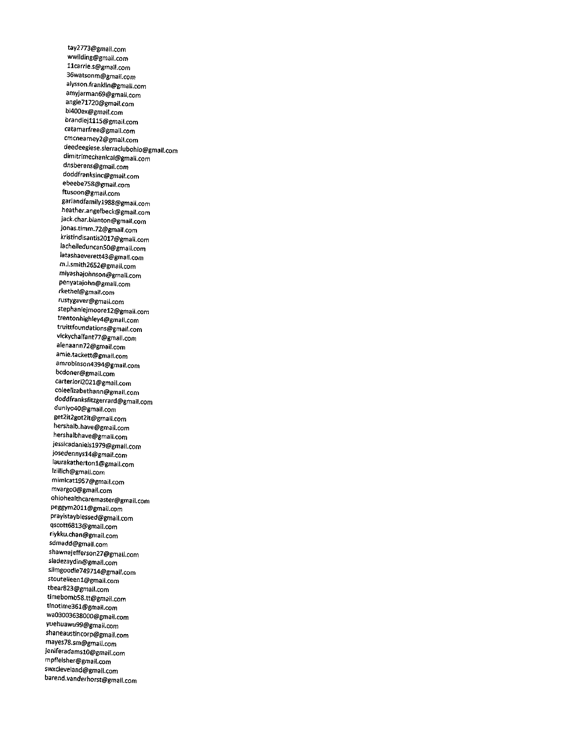tay2773@gmail.com wwilding@gmail.com llcarrie.s@gmail.com 36watsonm@gmail.com alysson.franklin@gmail.com amyjarman69@gmail.com angie71720@gmail.com bi400ex@gmail.com brandiejlll5@gmail.com catamarfree@gmaii.com cmcnearney2@gmail.com deedeegiese.sierraclubohio@gmail.com dimitrimechantcal@gmail.com dnsberens@gmail.com doddfranksinc@gmail.com ebeebe758@gmail.com ftusoon@gmail.com gariandfamilyl988@gmaii.com heather.angelbeck@gmail.com jack.char.blanton@gmail,com jonas.timm.72@gmail.com kristindisantis2017@gmail.com Iachelleduncan50@gmail.com Iatashaeverett43@gmaii.com m.i.smith2652@gmail.com miyashajohnson@gmail.com penyatajohn@gmail.com rkethel@gmail.com rustygaver@gmail.com stephaniejmoorel2@gmaii.com trentonhighley4@gmail.com truittfoundations@gmai(.com vickychaifant77@gmail.com aienaann72@gmail.com amie.tackett@gmail.com amrobinson4394@gmail.com bcdoner@gmaii.com carterlorj2021@gmail.com coleelizabethann@gmail.com doddfranksfitzgerrard@gmail.com duniyo40@gmail.com get2it2got2it@gmail.com hershalb.have@gmail.com hershalbhave@gmail.com jessicadanielsl979@gmail.com josedennysl4@gmail.com laurakathertonl@gmail.com lzillich@gmail.com mimicatl9S7@gmail.com mvargoO@gmaii.com ohiohealthcaremaster@gmail.com peggym2011@gmail.com prayistayblessed@gmail.com qscott6813@gmail.com riykku.chan@gmail.com sdmadd@gmail.com shawnajefferson27@gmail.com sladezaydin@gmail.com slimgoodie749714@gmail.com stouteileenl@gmaii.com tbear823@gmail.com timebomb58.tt@gmail.com tinotime361@gmail.com wa03003638000@gmail.com yuehuawu99@gmail.com shaneaustincorp@gmail.com mayes78.sm@gmail.com jeniferadamslO@gmail.com mpfleisher@gmail.com swxcleveland@gmail.com barend.vanderhorst@gmail.com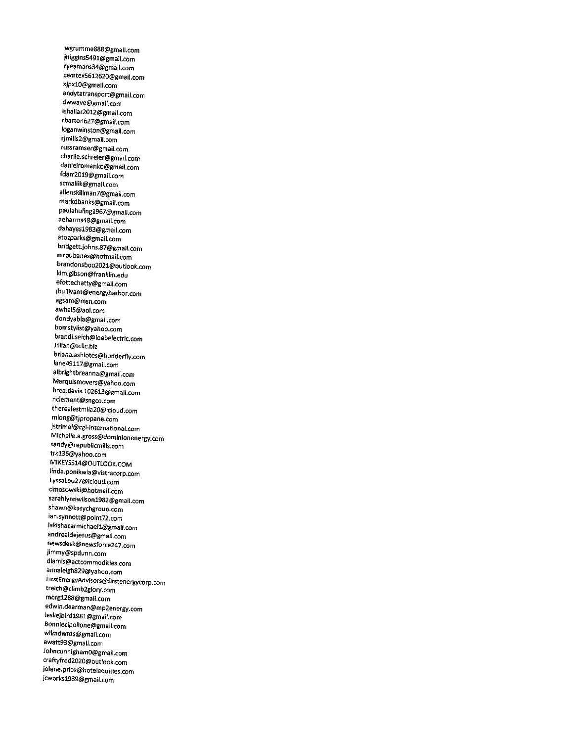wgrumme888@gmail.com jhiggins549l@gmail.com ryeamans34@gmail.com cemtex5612620@gmail.com xjpxlO@gmail.com andytatransport@gmail.com dwwave@gmail.com ishallar20l2@gmail.com rbarton627@gmail.com loganwinston@gmail.com rjmills2@gmail.com russramser@gmail.com charlie.schreier@gmail.com danielromanko@gmail.com fdarr2019@gmail.com scmallik@gmail.com allenskillman7@gmail.com markdbanks@gmail.com pauiahulingl967@gmail.com aeharms48@gmail.com dahayesl983@gmail.com atozparks@gmail.com bridgett.johns.87@gmail.com mroubanes@hotmail.com brandonsboo2021@outlook.com kim.gibson@franklin.edu efottechatty@gmail.com jbullivant@energyharbor.com agsam@msn.com awhalS@aol.com dondyabla@gmail.com bomstylist@yahoo.com brandi.seich@loebelectric.com Jillian@tdlc.biz briana.ashiotes@budderfIy.com Iane49ll7@gmail.com albrightbreanna@gmail.com Marquismovers@yahoo.com brea.davis.102613@gmaii.com nclement@sngco.com therealestmila20@idoud.com mlong@tjpropane.com jstrimel@cgi-international.com Michelle.a.gross@dominionenergy.com sandy@republicmills.com trkl36@yahoo.com MIKEYSS14@OUTLOOK.COM linda.ponikwia@vistracorp.com LyssaLou27@icloud.com dmosowski@hotmail.com sarahlynnwilsonl982@gmail.com shawn@kasychgroup.com ian.synnott@point72.com lakishacarmichaell@gmail.com andrealdejesus@gmail.com newsdesk@newsforce247.com jimmy@spdunn.com dlamis@actcommodities.com annaleigh829@yahoo.com FirstEnergyAdvisors@firstenergycorp.com treich@climb2glory.com mbrgl288@gmail.com edwin.dearman@mp2energy.com Iesliejbirdl981@gm3il.com Bonniecipollone@gmaii.com wllmdwrds@gmail.com awatt93@gmail.com JohncunnighamO@gmail.com craftyfred2020@outlook.com jolene.price@hotelequities.com jcworksl989@gmail.com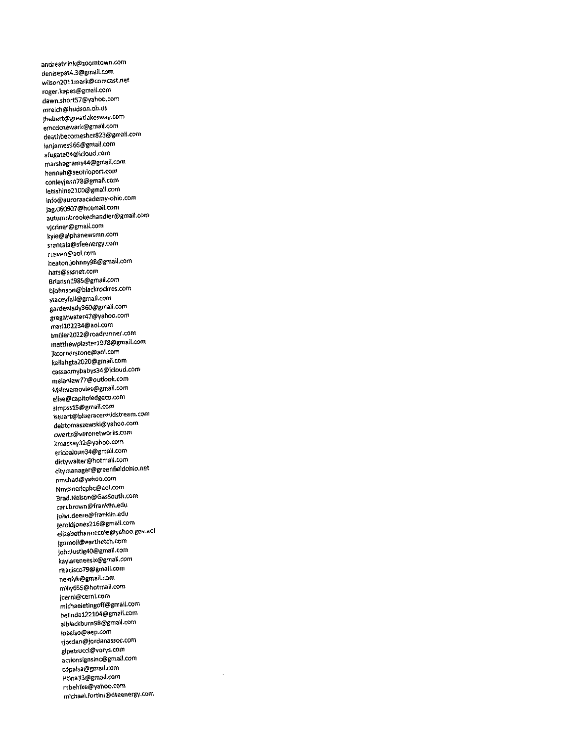andreabrink@zoomtQwn.com deni5epat4.3@gmail.com wilson201lmark@comcast.net roger.kapes@gmail.com dawn.short57@yahoo.com mreich@hudson.oh.us jhebert@greatlakesway.com emcdcnewark@gmail.com deathbecomesher823@gmail.com ianjames966@gmail.com afugate04@idoud.com mar5hagrams44@gmail.com hannah@seohioport.com conIevjenn78@gmail.com Ietsshine2100@gmail.com info@auroraacademy-ohio.com jag.060907@hotmaii.com autumnbrookechandler@gmail.com vjcriner@gmail.com kyle@alphanewsmn.com srantala@sfeenergv.com rusven@aol.com heaton.iohnny98@gmail.com hats@sssnet.com 6riansnl985@gmail.com bjohnson@blackrockres.com staceyfall@gmail.com gardenlady360@gmall.com gregatwater47@yahoo.com fnarii02234@aol.com tmiller2022@roadrunner.com matthewplasterl978@gmail.com jkcornerstone@aol.com kailahgta2020@gmail.com cassanmybabys34@icloud.com melaniew77@outlook.com Mslovemovies@gmail.com elise@capitoledgeco.com simpssl5@gmail.com tstuart@blueracermidstream.com debtomas2ewski@yahoo.com cwertz@veronetworks.com kmackay32@yahoo.com ericbaloun34@gmait.com dirtywalter@hotmail.com citymanager@greenfieldohio.net nmchad@yahoo.com Nmcsncrlcpbc@aol.com Brad.Nelson@GasSouth.com carl.brown@ffanklin.edu john.deere@franklin.edu jeroldjones2l6@gmail.com eli2abethannecole@yahoo.gov.aol jgomoll@earthetch.com johniustlg40@gmail.com kaYlareneesix@gmail.com ritacisco79@gmail.com nestlyk@gmail.com miily655@hotmail.com jcerni@cerni.com mlchaeletingoff@gmail.com belindal22104@gmail.com alblackburn98@gmail.com lokelso@aep.com rjordan@jordanassoc.com glpetrucci@vorys.com actionsignsinc@gmail.com cdpalsa@gmail.com Htina33@gmail.com mbehlke@yahoo.com mtchaet.fortini@dteenergy.com